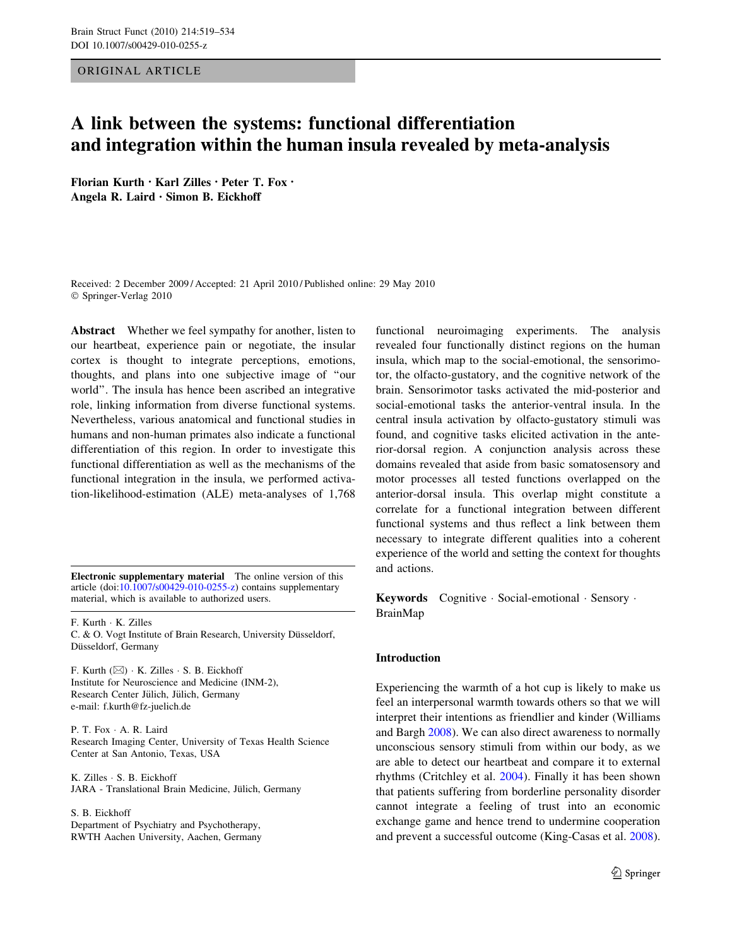ORIGINAL ARTICLE

# A link between the systems: functional differentiation and integration within the human insula revealed by meta-analysis

Florian Kurth • Karl Zilles • Peter T. Fox • Angela R. Laird • Simon B. Eickhoff

Received: 2 December 2009 / Accepted: 21 April 2010 / Published online: 29 May 2010  $©$  Springer-Verlag 2010

Abstract Whether we feel sympathy for another, listen to our heartbeat, experience pain or negotiate, the insular cortex is thought to integrate perceptions, emotions, thoughts, and plans into one subjective image of ''our world''. The insula has hence been ascribed an integrative role, linking information from diverse functional systems. Nevertheless, various anatomical and functional studies in humans and non-human primates also indicate a functional differentiation of this region. In order to investigate this functional differentiation as well as the mechanisms of the functional integration in the insula, we performed activation-likelihood-estimation (ALE) meta-analyses of 1,768

Electronic supplementary material The online version of this article (doi:10.1007/s00429-010-0255-z) contains supplementary material, which is available to authorized users.

F. Kurth · K. Zilles C. & O. Vogt Institute of Brain Research, University Düsseldorf, Düsseldorf, Germany

F. Kurth  $(\boxtimes) \cdot$  K. Zilles  $\cdot$  S. B. Eickhoff Institute for Neuroscience and Medicine (INM-2), Research Center Jülich, Jülich, Germany e-mail: f.kurth@fz-juelich.de

P. T. Fox · A. R. Laird Research Imaging Center, University of Texas Health Science Center at San Antonio, Texas, USA

 $K.$  Zilles  $\cdot$  S. B. Eickhoff JARA - Translational Brain Medicine, Jülich, Germany

S. B. Eickhoff Department of Psychiatry and Psychotherapy, RWTH Aachen University, Aachen, Germany functional neuroimaging experiments. The analysis revealed four functionally distinct regions on the human insula, which map to the social-emotional, the sensorimotor, the olfacto-gustatory, and the cognitive network of the brain. Sensorimotor tasks activated the mid-posterior and social-emotional tasks the anterior-ventral insula. In the central insula activation by olfacto-gustatory stimuli was found, and cognitive tasks elicited activation in the anterior-dorsal region. A conjunction analysis across these domains revealed that aside from basic somatosensory and motor processes all tested functions overlapped on the anterior-dorsal insula. This overlap might constitute a correlate for a functional integration between different functional systems and thus reflect a link between them necessary to integrate different qualities into a coherent experience of the world and setting the context for thoughts and actions.

**Keywords** Cognitive  $\cdot$  Social-emotional  $\cdot$  Sensory  $\cdot$ BrainMap

#### Introduction

Experiencing the warmth of a hot cup is likely to make us feel an interpersonal warmth towards others so that we will interpret their intentions as friendlier and kinder (Williams and Bargh 2008). We can also direct awareness to normally unconscious sensory stimuli from within our body, as we are able to detect our heartbeat and compare it to external rhythms (Critchley et al. 2004). Finally it has been shown that patients suffering from borderline personality disorder cannot integrate a feeling of trust into an economic exchange game and hence trend to undermine cooperation and prevent a successful outcome (King-Casas et al. 2008).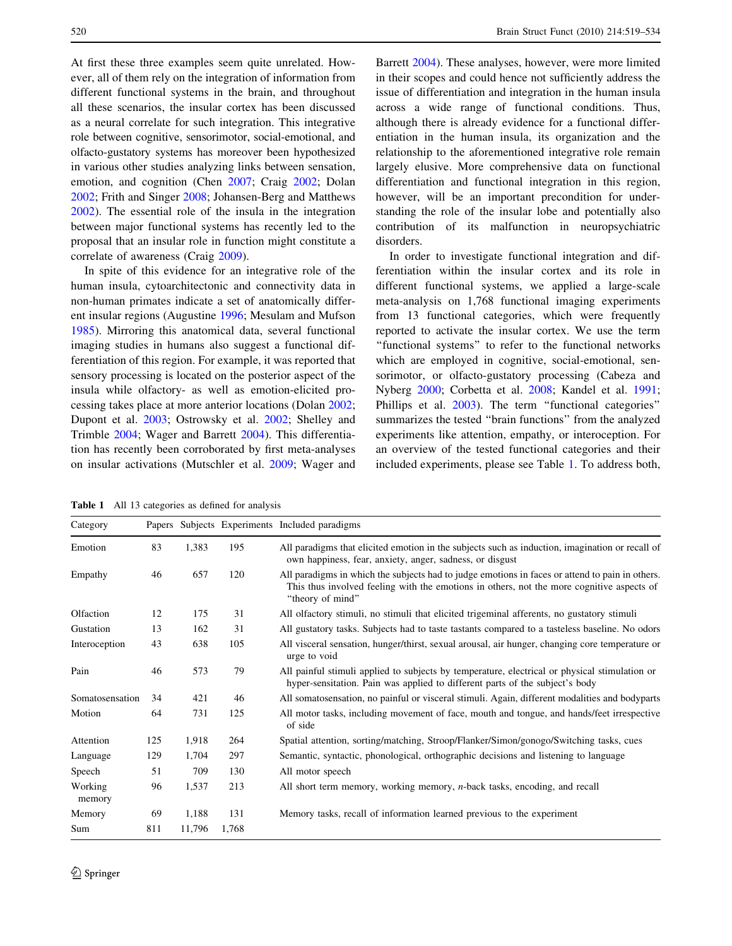At first these three examples seem quite unrelated. However, all of them rely on the integration of information from different functional systems in the brain, and throughout all these scenarios, the insular cortex has been discussed as a neural correlate for such integration. This integrative role between cognitive, sensorimotor, social-emotional, and olfacto-gustatory systems has moreover been hypothesized in various other studies analyzing links between sensation, emotion, and cognition (Chen 2007; Craig 2002; Dolan 2002; Frith and Singer 2008; Johansen-Berg and Matthews 2002). The essential role of the insula in the integration between major functional systems has recently led to the proposal that an insular role in function might constitute a correlate of awareness (Craig 2009).

In spite of this evidence for an integrative role of the human insula, cytoarchitectonic and connectivity data in non-human primates indicate a set of anatomically different insular regions (Augustine 1996; Mesulam and Mufson 1985). Mirroring this anatomical data, several functional imaging studies in humans also suggest a functional differentiation of this region. For example, it was reported that sensory processing is located on the posterior aspect of the insula while olfactory- as well as emotion-elicited processing takes place at more anterior locations (Dolan 2002; Dupont et al. 2003; Ostrowsky et al. 2002; Shelley and Trimble 2004; Wager and Barrett 2004). This differentiation has recently been corroborated by first meta-analyses on insular activations (Mutschler et al. 2009; Wager and

Barrett 2004). These analyses, however, were more limited in their scopes and could hence not sufficiently address the issue of differentiation and integration in the human insula across a wide range of functional conditions. Thus, although there is already evidence for a functional differentiation in the human insula, its organization and the relationship to the aforementioned integrative role remain largely elusive. More comprehensive data on functional differentiation and functional integration in this region, however, will be an important precondition for understanding the role of the insular lobe and potentially also contribution of its malfunction in neuropsychiatric disorders.

In order to investigate functional integration and differentiation within the insular cortex and its role in different functional systems, we applied a large-scale meta-analysis on 1,768 functional imaging experiments from 13 functional categories, which were frequently reported to activate the insular cortex. We use the term ''functional systems'' to refer to the functional networks which are employed in cognitive, social-emotional, sensorimotor, or olfacto-gustatory processing (Cabeza and Nyberg 2000; Corbetta et al. 2008; Kandel et al. 1991; Phillips et al. 2003). The term "functional categories" summarizes the tested ''brain functions'' from the analyzed experiments like attention, empathy, or interoception. For an overview of the tested functional categories and their included experiments, please see Table 1. To address both,

Table 1 All 13 categories as defined for analysis

| Category          |     |        |       | Papers Subjects Experiments Included paradigms                                                                                                                                                                   |  |  |  |
|-------------------|-----|--------|-------|------------------------------------------------------------------------------------------------------------------------------------------------------------------------------------------------------------------|--|--|--|
| Emotion           | 83  | 1,383  | 195   | All paradigms that elicited emotion in the subjects such as induction, imagination or recall of<br>own happiness, fear, anxiety, anger, sadness, or disgust                                                      |  |  |  |
| Empathy           | 46  | 657    | 120   | All paradigms in which the subjects had to judge emotions in faces or attend to pain in others.<br>This thus involved feeling with the emotions in others, not the more cognitive aspects of<br>"theory of mind" |  |  |  |
| Olfaction         | 12  | 175    | 31    | All olfactory stimuli, no stimuli that elicited trigeminal afferents, no gustatory stimuli                                                                                                                       |  |  |  |
| Gustation         | 13  | 162    | 31    | All gustatory tasks. Subjects had to taste tastants compared to a tasteless baseline. No odors                                                                                                                   |  |  |  |
| Interoception     | 43  | 638    | 105   | All visceral sensation, hunger/thirst, sexual arousal, air hunger, changing core temperature or<br>urge to void                                                                                                  |  |  |  |
| Pain              | 46  | 573    | 79    | All painful stimuli applied to subjects by temperature, electrical or physical stimulation or<br>hyper-sensitation. Pain was applied to different parts of the subject's body                                    |  |  |  |
| Somatosensation   | 34  | 421    | 46    | All somatogeneration, no painful or visceral stimuli. Again, different modalities and bodyparts                                                                                                                  |  |  |  |
| Motion            | 64  | 731    | 125   | All motor tasks, including movement of face, mouth and tongue, and hands/feet irrespective<br>of side                                                                                                            |  |  |  |
| Attention         | 125 | 1,918  | 264   | Spatial attention, sorting/matching, Stroop/Flanker/Simon/gonogo/Switching tasks, cues                                                                                                                           |  |  |  |
| Language          | 129 | 1,704  | 297   | Semantic, syntactic, phonological, orthographic decisions and listening to language                                                                                                                              |  |  |  |
| Speech            | 51  | 709    | 130   | All motor speech                                                                                                                                                                                                 |  |  |  |
| Working<br>memory | 96  | 1,537  | 213   | All short term memory, working memory, <i>n</i> -back tasks, encoding, and recall                                                                                                                                |  |  |  |
| Memory            | 69  | 1,188  | 131   | Memory tasks, recall of information learned previous to the experiment                                                                                                                                           |  |  |  |
| Sum               | 811 | 11,796 | 1,768 |                                                                                                                                                                                                                  |  |  |  |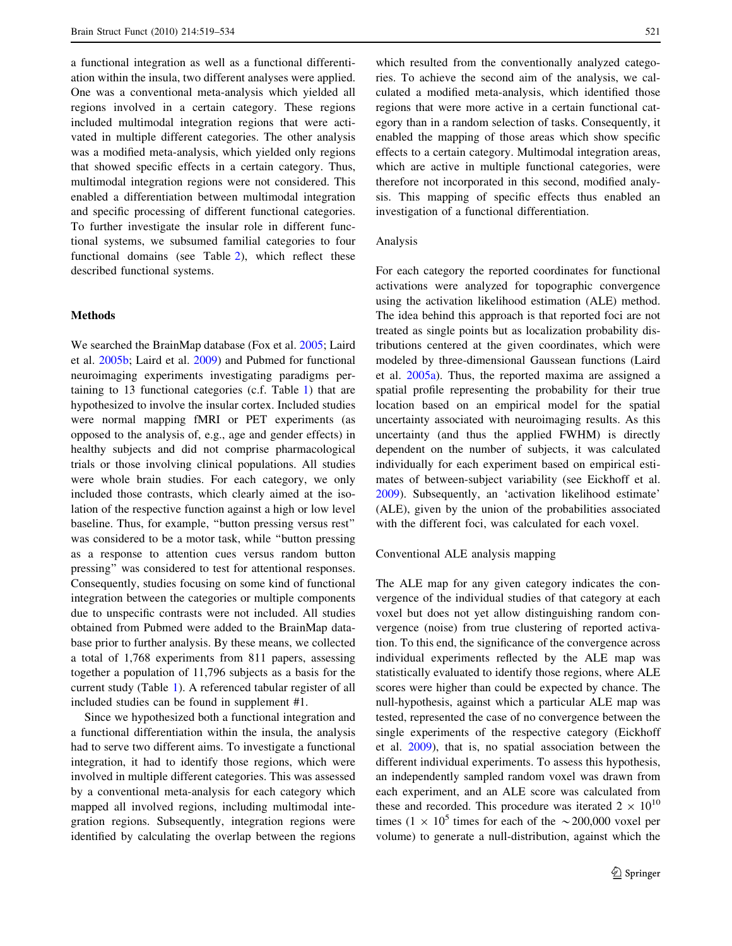a functional integration as well as a functional differentiation within the insula, two different analyses were applied. One was a conventional meta-analysis which yielded all regions involved in a certain category. These regions included multimodal integration regions that were activated in multiple different categories. The other analysis was a modified meta-analysis, which yielded only regions that showed specific effects in a certain category. Thus, multimodal integration regions were not considered. This enabled a differentiation between multimodal integration and specific processing of different functional categories. To further investigate the insular role in different functional systems, we subsumed familial categories to four functional domains (see Table 2), which reflect these described functional systems.

#### Methods

We searched the BrainMap database (Fox et al. 2005; Laird et al. 2005b; Laird et al. 2009) and Pubmed for functional neuroimaging experiments investigating paradigms pertaining to 13 functional categories (c.f. Table 1) that are hypothesized to involve the insular cortex. Included studies were normal mapping fMRI or PET experiments (as opposed to the analysis of, e.g., age and gender effects) in healthy subjects and did not comprise pharmacological trials or those involving clinical populations. All studies were whole brain studies. For each category, we only included those contrasts, which clearly aimed at the isolation of the respective function against a high or low level baseline. Thus, for example, ''button pressing versus rest'' was considered to be a motor task, while ''button pressing as a response to attention cues versus random button pressing'' was considered to test for attentional responses. Consequently, studies focusing on some kind of functional integration between the categories or multiple components due to unspecific contrasts were not included. All studies obtained from Pubmed were added to the BrainMap database prior to further analysis. By these means, we collected a total of 1,768 experiments from 811 papers, assessing together a population of 11,796 subjects as a basis for the current study (Table 1). A referenced tabular register of all included studies can be found in supplement #1.

Since we hypothesized both a functional integration and a functional differentiation within the insula, the analysis had to serve two different aims. To investigate a functional integration, it had to identify those regions, which were involved in multiple different categories. This was assessed by a conventional meta-analysis for each category which mapped all involved regions, including multimodal integration regions. Subsequently, integration regions were identified by calculating the overlap between the regions

which resulted from the conventionally analyzed categories. To achieve the second aim of the analysis, we calculated a modified meta-analysis, which identified those regions that were more active in a certain functional category than in a random selection of tasks. Consequently, it enabled the mapping of those areas which show specific effects to a certain category. Multimodal integration areas, which are active in multiple functional categories, were therefore not incorporated in this second, modified analysis. This mapping of specific effects thus enabled an investigation of a functional differentiation.

#### Analysis

For each category the reported coordinates for functional activations were analyzed for topographic convergence using the activation likelihood estimation (ALE) method. The idea behind this approach is that reported foci are not treated as single points but as localization probability distributions centered at the given coordinates, which were modeled by three-dimensional Gaussean functions (Laird et al. 2005a). Thus, the reported maxima are assigned a spatial profile representing the probability for their true location based on an empirical model for the spatial uncertainty associated with neuroimaging results. As this uncertainty (and thus the applied FWHM) is directly dependent on the number of subjects, it was calculated individually for each experiment based on empirical estimates of between-subject variability (see Eickhoff et al. 2009). Subsequently, an 'activation likelihood estimate' (ALE), given by the union of the probabilities associated with the different foci, was calculated for each voxel.

Conventional ALE analysis mapping

The ALE map for any given category indicates the convergence of the individual studies of that category at each voxel but does not yet allow distinguishing random convergence (noise) from true clustering of reported activation. To this end, the significance of the convergence across individual experiments reflected by the ALE map was statistically evaluated to identify those regions, where ALE scores were higher than could be expected by chance. The null-hypothesis, against which a particular ALE map was tested, represented the case of no convergence between the single experiments of the respective category (Eickhoff et al. 2009), that is, no spatial association between the different individual experiments. To assess this hypothesis, an independently sampled random voxel was drawn from each experiment, and an ALE score was calculated from these and recorded. This procedure was iterated  $2 \times 10^{10}$ times (1  $\times$  10<sup>5</sup> times for each of the  $\sim$  200,000 voxel per volume) to generate a null-distribution, against which the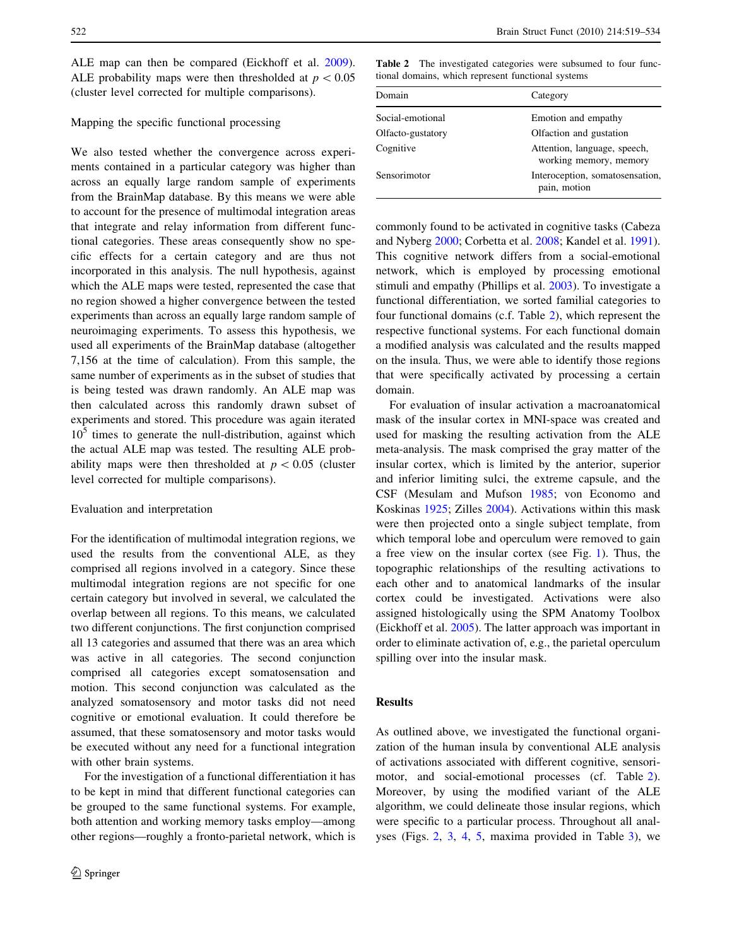ALE map can then be compared (Eickhoff et al. 2009). ALE probability maps were then thresholded at  $p < 0.05$ (cluster level corrected for multiple comparisons).

## Mapping the specific functional processing

We also tested whether the convergence across experiments contained in a particular category was higher than across an equally large random sample of experiments from the BrainMap database. By this means we were able to account for the presence of multimodal integration areas that integrate and relay information from different functional categories. These areas consequently show no specific effects for a certain category and are thus not incorporated in this analysis. The null hypothesis, against which the ALE maps were tested, represented the case that no region showed a higher convergence between the tested experiments than across an equally large random sample of neuroimaging experiments. To assess this hypothesis, we used all experiments of the BrainMap database (altogether 7,156 at the time of calculation). From this sample, the same number of experiments as in the subset of studies that is being tested was drawn randomly. An ALE map was then calculated across this randomly drawn subset of experiments and stored. This procedure was again iterated  $10<sup>5</sup>$  times to generate the null-distribution, against which the actual ALE map was tested. The resulting ALE probability maps were then thresholded at  $p < 0.05$  (cluster level corrected for multiple comparisons).

#### Evaluation and interpretation

For the identification of multimodal integration regions, we used the results from the conventional ALE, as they comprised all regions involved in a category. Since these multimodal integration regions are not specific for one certain category but involved in several, we calculated the overlap between all regions. To this means, we calculated two different conjunctions. The first conjunction comprised all 13 categories and assumed that there was an area which was active in all categories. The second conjunction comprised all categories except somatosensation and motion. This second conjunction was calculated as the analyzed somatosensory and motor tasks did not need cognitive or emotional evaluation. It could therefore be assumed, that these somatosensory and motor tasks would be executed without any need for a functional integration with other brain systems.

For the investigation of a functional differentiation it has to be kept in mind that different functional categories can be grouped to the same functional systems. For example, both attention and working memory tasks employ—among other regions—roughly a fronto-parietal network, which is

Table 2 The investigated categories were subsumed to four functional domains, which represent functional systems

| Category                                               |
|--------------------------------------------------------|
| Emotion and empathy                                    |
| Olfaction and gustation                                |
| Attention, language, speech,<br>working memory, memory |
| Interoception, somatosensation,<br>pain, motion        |
|                                                        |

commonly found to be activated in cognitive tasks (Cabeza and Nyberg 2000; Corbetta et al. 2008; Kandel et al. 1991). This cognitive network differs from a social-emotional network, which is employed by processing emotional stimuli and empathy (Phillips et al. 2003). To investigate a functional differentiation, we sorted familial categories to four functional domains (c.f. Table 2), which represent the respective functional systems. For each functional domain a modified analysis was calculated and the results mapped on the insula. Thus, we were able to identify those regions that were specifically activated by processing a certain domain.

For evaluation of insular activation a macroanatomical mask of the insular cortex in MNI-space was created and used for masking the resulting activation from the ALE meta-analysis. The mask comprised the gray matter of the insular cortex, which is limited by the anterior, superior and inferior limiting sulci, the extreme capsule, and the CSF (Mesulam and Mufson 1985; von Economo and Koskinas 1925; Zilles 2004). Activations within this mask were then projected onto a single subject template, from which temporal lobe and operculum were removed to gain a free view on the insular cortex (see Fig. 1). Thus, the topographic relationships of the resulting activations to each other and to anatomical landmarks of the insular cortex could be investigated. Activations were also assigned histologically using the SPM Anatomy Toolbox (Eickhoff et al. 2005). The latter approach was important in order to eliminate activation of, e.g., the parietal operculum spilling over into the insular mask.

### Results

As outlined above, we investigated the functional organization of the human insula by conventional ALE analysis of activations associated with different cognitive, sensorimotor, and social-emotional processes (cf. Table 2). Moreover, by using the modified variant of the ALE algorithm, we could delineate those insular regions, which were specific to a particular process. Throughout all analyses (Figs. 2, 3, 4, 5, maxima provided in Table 3), we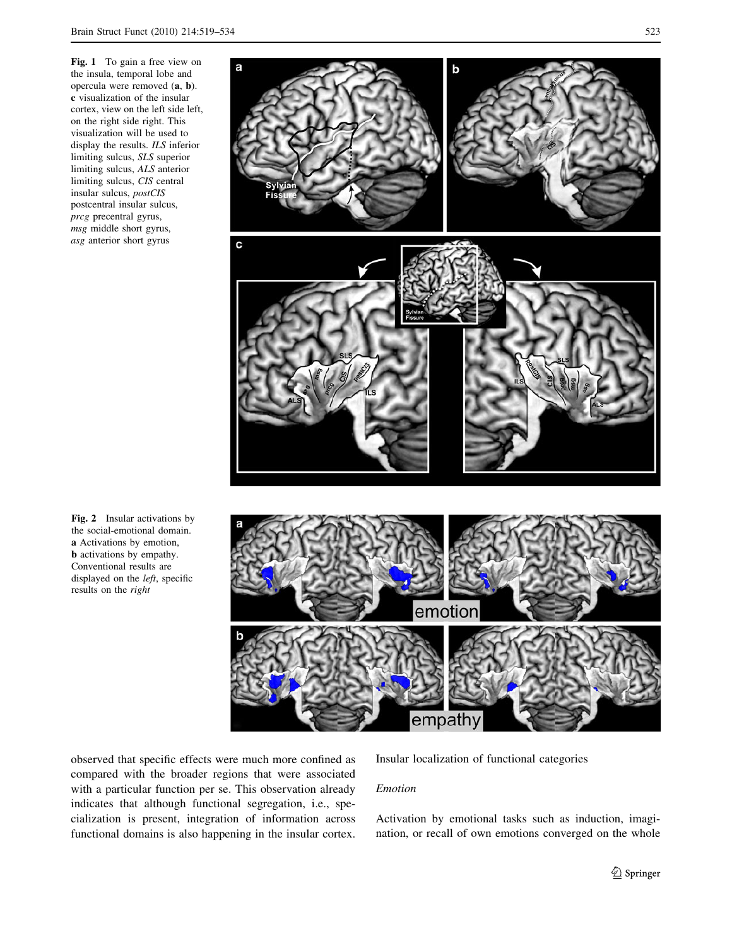Fig. 1 To gain a free view on the insula, temporal lobe and opercula were removed (a, b). c visualization of the insular cortex, view on the left side left, on the right side right. This visualization will be used to display the results. ILS inferior limiting sulcus, SLS superior limiting sulcus, ALS anterior limiting sulcus, CIS central insular sulcus, postCIS postcentral insular sulcus, prcg precentral gyrus, msg middle short gyrus, asg anterior short gyrus



Fig. 2 Insular activations by the social-emotional domain. a Activations by emotion, b activations by empathy. Conventional results are displayed on the *left*, specific results on the right

observed that specific effects were much more confined as compared with the broader regions that were associated with a particular function per se. This observation already indicates that although functional segregation, i.e., specialization is present, integration of information across functional domains is also happening in the insular cortex.

Insular localization of functional categories

# Emotion

Activation by emotional tasks such as induction, imagination, or recall of own emotions converged on the whole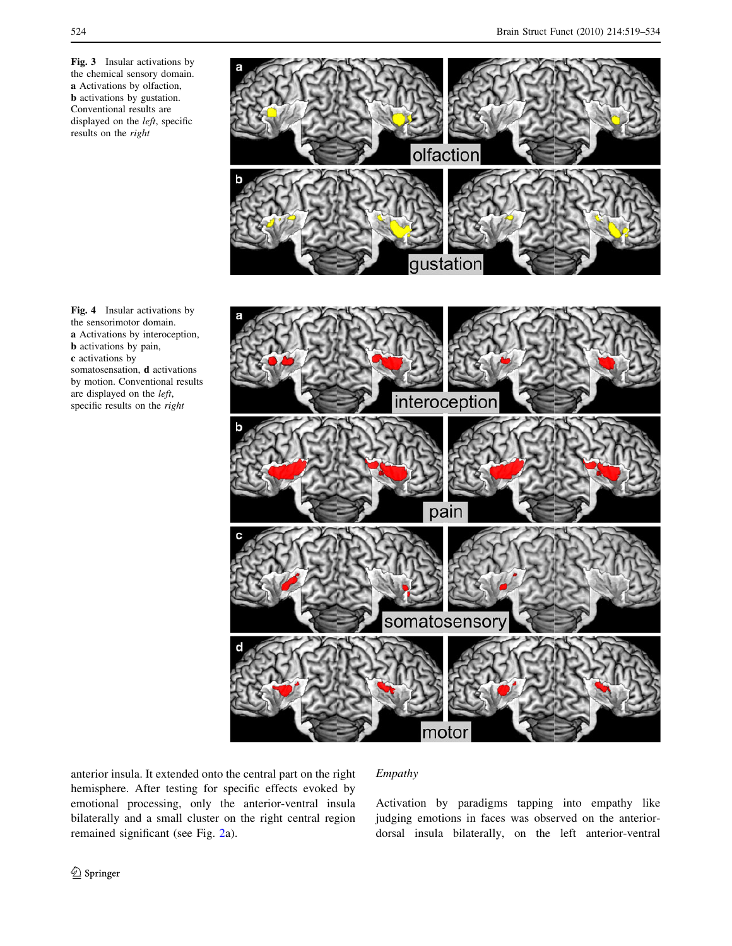



Fig. 4 Insular activations by the sensorimotor domain. a Activations by interoception, b activations by pain, c activations by somatosensation, d activations by motion. Conventional results are displayed on the left, specific results on the right

# anterior insula. It extended onto the central part on the right hemisphere. After testing for specific effects evoked by emotional processing, only the anterior-ventral insula bilaterally and a small cluster on the right central region remained significant (see Fig. 2a).

# Empathy

Activation by paradigms tapping into empathy like judging emotions in faces was observed on the anteriordorsal insula bilaterally, on the left anterior-ventral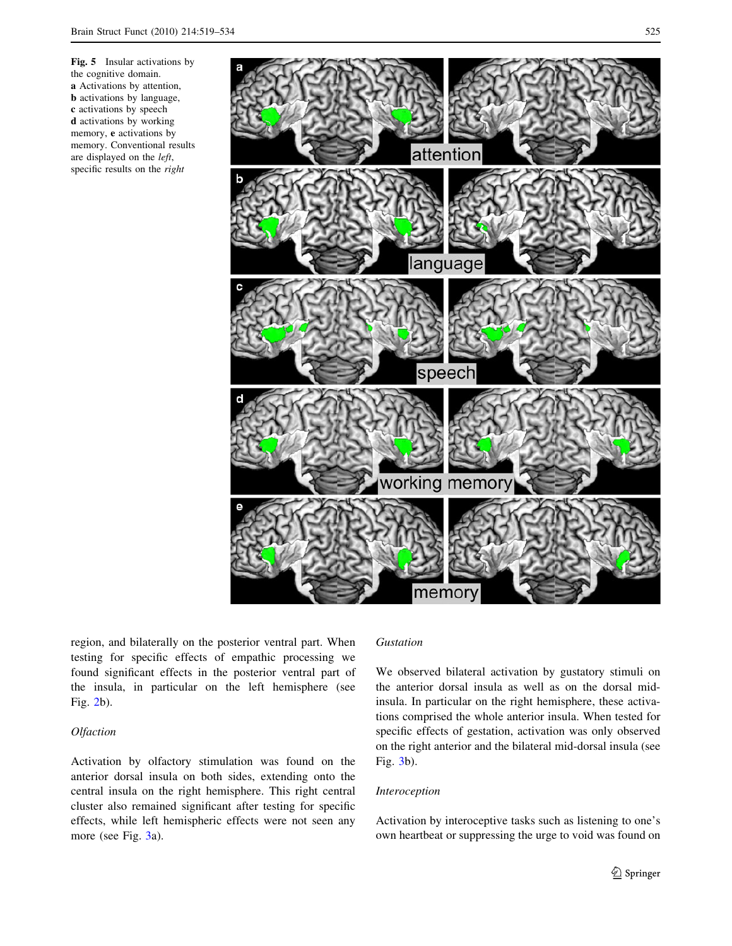



region, and bilaterally on the posterior ventral part. When testing for specific effects of empathic processing we found significant effects in the posterior ventral part of the insula, in particular on the left hemisphere (see Fig. 2b).

## **Olfaction**

Activation by olfactory stimulation was found on the anterior dorsal insula on both sides, extending onto the central insula on the right hemisphere. This right central cluster also remained significant after testing for specific effects, while left hemispheric effects were not seen any more (see Fig. 3a).

#### Gustation

We observed bilateral activation by gustatory stimuli on the anterior dorsal insula as well as on the dorsal midinsula. In particular on the right hemisphere, these activations comprised the whole anterior insula. When tested for specific effects of gestation, activation was only observed on the right anterior and the bilateral mid-dorsal insula (see Fig. 3b).

#### Interoception

Activation by interoceptive tasks such as listening to one's own heartbeat or suppressing the urge to void was found on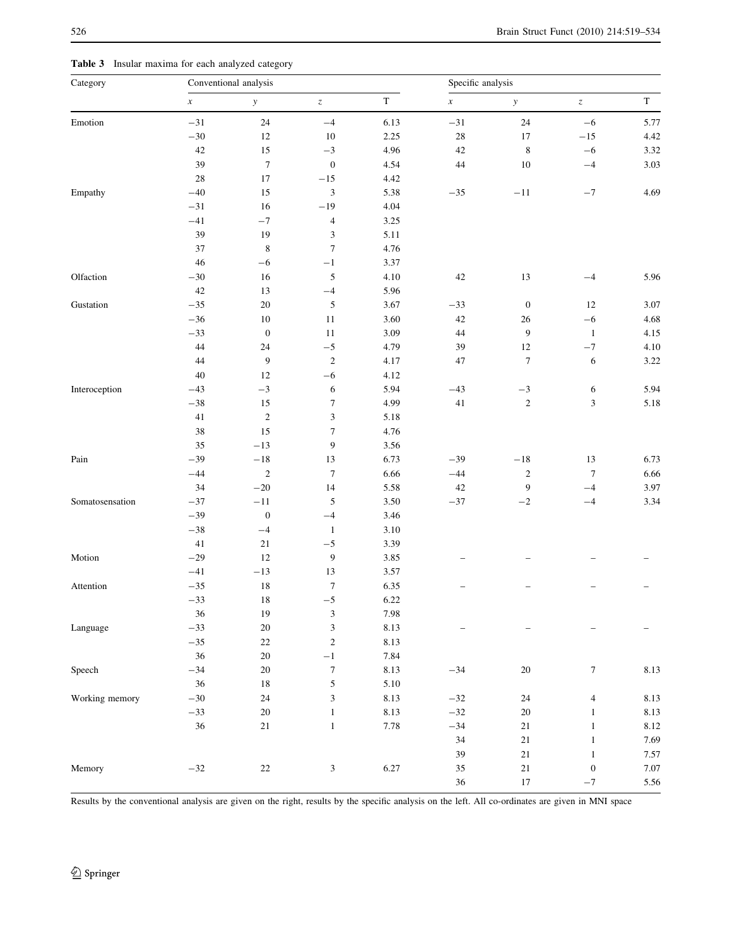Table 3 Insular maxima for each analyzed category

| $\mathbf T$<br>$\mathbf T$<br>$\boldsymbol{x}$<br>$\ensuremath{\mathnormal{Z}}$<br>$\boldsymbol{x}$<br>$\boldsymbol{y}$<br>$\ensuremath{\mathnormal{z}}$<br>$\mathcal{Y}$<br>$-31$<br>24<br>24<br>$-4\,$<br>6.13<br>$-31$<br>$-6$<br>5.77<br>$12\,$<br>$-30$<br>$10\,$<br>2.25<br>$28\,$<br>$17\,$<br>$-15$<br>4.42<br>15<br>$\,8\,$<br>$-6$<br>42<br>$-3$<br>4.96<br>$42\,$<br>3.32<br>39<br>$\boldsymbol{7}$<br>$\boldsymbol{0}$<br>44<br>4.54<br>$10\,$<br>$-4$<br>3.03<br>28<br>$17\,$<br>$-15$<br>4.42<br>$\ensuremath{\mathfrak{Z}}$<br>$-40$<br>15<br>$-11\,$<br>4.69<br>5.38<br>$-35$<br>$-7$<br>$-31$<br>16<br>$-19$<br>4.04<br>$-41$<br>$-7$<br>$\overline{4}$<br>3.25<br>39<br>19<br>$\mathfrak{Z}$<br>5.11<br>$\,$ 8 $\,$<br>$\tau$<br>37<br>4.76<br>46<br>$-6$<br>$-1$<br>3.37<br>$\sqrt{5}$<br>Olfaction<br>16<br>4.10<br>$42\,$<br>13<br>5.96<br>$-30$<br>$-4$<br>$42\,$<br>13<br>$-4\,$<br>5.96<br>Gustation<br>$-35$<br>$20\,$<br>$\sqrt{5}$<br>$\boldsymbol{0}$<br>3.07<br>3.67<br>$-33$<br>12<br>$-36$<br>$10\,$<br>3.60<br>$42\,$<br>$26\,$<br>$-6\,$<br>4.68<br>11<br>9<br>$-33$<br>$\boldsymbol{0}$<br>$11\,$<br>3.09<br>44<br>4.15<br>$\mathbf{1}$<br>$-5$<br>44<br>39<br>$12\,$<br>$-7$<br>4.10<br>24<br>4.79<br>$\sqrt{2}$<br>$\tau$<br>44<br>9<br>4.17<br>47<br>6<br>3.22<br>40<br>12<br>$-6$<br>4.12<br>$-3$<br>$-43$<br>6<br>5.94<br>$-43$<br>5.94<br>Interoception<br>$-3$<br>$\sqrt{6}$<br>15<br>$-38$<br>$\tau$<br>4.99<br>41<br>$\sqrt{2}$<br>3<br>5.18<br>$\sqrt{2}$<br>$\mathfrak{Z}$<br>41<br>5.18<br>15<br>$\boldsymbol{7}$<br>38<br>4.76<br>$\boldsymbol{9}$<br>35<br>$-13$<br>3.56<br>$-18$<br>$-39$<br>13<br>6.73<br>$-18\,$<br>13<br>6.73<br>Pain<br>$-39$<br>$\sqrt{2}$<br>$\boldsymbol{7}$<br>$-44$<br>$-44$<br>$\sqrt{2}$<br>$\boldsymbol{7}$<br>6.66<br>6.66<br>$42\,$<br>$\overline{9}$<br>34<br>$-20$<br>14<br>5.58<br>$-4$<br>3.97<br>$\sqrt{5}$<br>$-37$<br>$-11\,$<br>3.50<br>$-37$<br>$-{\bf 2}$<br>$-4\,$<br>3.34<br>Somatosensation<br>$-39$<br>$\boldsymbol{0}$<br>$-4$<br>3.46<br>$-38$<br>$-4$<br>$\mathbf{1}$<br>3.10<br>$41\,$<br>$21\,$<br>$-5$<br>3.39<br>$\boldsymbol{9}$<br>$-29$<br>12<br>Motion<br>3.85<br>$-41$<br>$-13$<br>13<br>3.57<br>$-35$<br>$18\,$<br>$\boldsymbol{7}$<br>6.35<br>Attention<br>$-5$<br>$-33$<br>$18\,$<br>6.22<br>$19\,$<br>7.98<br>36<br>3<br>$\mathfrak{Z}$<br>$-33$<br>$20\,$<br>8.13<br>Language<br>-<br>$-35$<br>$\sqrt{2}$<br>$22\,$<br>8.13<br>36<br>$20\,$<br>7.84<br>$-1$<br>$-34$<br>$20\,$<br>$\boldsymbol{7}$<br>8.13<br>8.13<br>Speech<br>$-34$<br>$20\,$<br>7<br>36<br>5.10<br>18<br>5<br>$-30$<br>8.13<br>Working memory<br>24<br>3<br>$-32$<br>$24\,$<br>8.13<br>4<br>$-33$<br>8.13<br>$20\,$<br>$\mathbf{1}$<br>8.13<br>$-32$<br>$20\,$<br>$\mathbf{1}$<br>$36\,$<br>$21\,$<br>$-34$<br>8.12<br>$\mathbf{1}$<br>7.78<br>21<br>1<br>34<br>$21\,$<br>7.69<br>$\mathbf{1}$<br>39<br>$21\,$<br>7.57<br>$\mathbf{1}$<br>6.27<br>$21\,$<br>Memory<br>$-32$<br>$22\,$<br>3<br>$35\,$<br>$\boldsymbol{0}$<br>$7.07\,$<br>$17\,$<br>36<br>$-7\,$<br>5.56 | Category | Conventional analysis |  | Specific analysis |  |  |  |  |
|---------------------------------------------------------------------------------------------------------------------------------------------------------------------------------------------------------------------------------------------------------------------------------------------------------------------------------------------------------------------------------------------------------------------------------------------------------------------------------------------------------------------------------------------------------------------------------------------------------------------------------------------------------------------------------------------------------------------------------------------------------------------------------------------------------------------------------------------------------------------------------------------------------------------------------------------------------------------------------------------------------------------------------------------------------------------------------------------------------------------------------------------------------------------------------------------------------------------------------------------------------------------------------------------------------------------------------------------------------------------------------------------------------------------------------------------------------------------------------------------------------------------------------------------------------------------------------------------------------------------------------------------------------------------------------------------------------------------------------------------------------------------------------------------------------------------------------------------------------------------------------------------------------------------------------------------------------------------------------------------------------------------------------------------------------------------------------------------------------------------------------------------------------------------------------------------------------------------------------------------------------------------------------------------------------------------------------------------------------------------------------------------------------------------------------------------------------------------------------------------------------------------------------------------------------------------------------------------------------------------------------------------------------------------------------------------------------------------------------------------------------------------------------------------------------------------------------------------------------------------------------------------------------------------------------------------------------------------------------------------------------------------------------------------------------|----------|-----------------------|--|-------------------|--|--|--|--|
|                                                                                                                                                                                                                                                                                                                                                                                                                                                                                                                                                                                                                                                                                                                                                                                                                                                                                                                                                                                                                                                                                                                                                                                                                                                                                                                                                                                                                                                                                                                                                                                                                                                                                                                                                                                                                                                                                                                                                                                                                                                                                                                                                                                                                                                                                                                                                                                                                                                                                                                                                                                                                                                                                                                                                                                                                                                                                                                                                                                                                                                         |          |                       |  |                   |  |  |  |  |
|                                                                                                                                                                                                                                                                                                                                                                                                                                                                                                                                                                                                                                                                                                                                                                                                                                                                                                                                                                                                                                                                                                                                                                                                                                                                                                                                                                                                                                                                                                                                                                                                                                                                                                                                                                                                                                                                                                                                                                                                                                                                                                                                                                                                                                                                                                                                                                                                                                                                                                                                                                                                                                                                                                                                                                                                                                                                                                                                                                                                                                                         | Emotion  |                       |  |                   |  |  |  |  |
|                                                                                                                                                                                                                                                                                                                                                                                                                                                                                                                                                                                                                                                                                                                                                                                                                                                                                                                                                                                                                                                                                                                                                                                                                                                                                                                                                                                                                                                                                                                                                                                                                                                                                                                                                                                                                                                                                                                                                                                                                                                                                                                                                                                                                                                                                                                                                                                                                                                                                                                                                                                                                                                                                                                                                                                                                                                                                                                                                                                                                                                         |          |                       |  |                   |  |  |  |  |
|                                                                                                                                                                                                                                                                                                                                                                                                                                                                                                                                                                                                                                                                                                                                                                                                                                                                                                                                                                                                                                                                                                                                                                                                                                                                                                                                                                                                                                                                                                                                                                                                                                                                                                                                                                                                                                                                                                                                                                                                                                                                                                                                                                                                                                                                                                                                                                                                                                                                                                                                                                                                                                                                                                                                                                                                                                                                                                                                                                                                                                                         |          |                       |  |                   |  |  |  |  |
|                                                                                                                                                                                                                                                                                                                                                                                                                                                                                                                                                                                                                                                                                                                                                                                                                                                                                                                                                                                                                                                                                                                                                                                                                                                                                                                                                                                                                                                                                                                                                                                                                                                                                                                                                                                                                                                                                                                                                                                                                                                                                                                                                                                                                                                                                                                                                                                                                                                                                                                                                                                                                                                                                                                                                                                                                                                                                                                                                                                                                                                         |          |                       |  |                   |  |  |  |  |
|                                                                                                                                                                                                                                                                                                                                                                                                                                                                                                                                                                                                                                                                                                                                                                                                                                                                                                                                                                                                                                                                                                                                                                                                                                                                                                                                                                                                                                                                                                                                                                                                                                                                                                                                                                                                                                                                                                                                                                                                                                                                                                                                                                                                                                                                                                                                                                                                                                                                                                                                                                                                                                                                                                                                                                                                                                                                                                                                                                                                                                                         |          |                       |  |                   |  |  |  |  |
|                                                                                                                                                                                                                                                                                                                                                                                                                                                                                                                                                                                                                                                                                                                                                                                                                                                                                                                                                                                                                                                                                                                                                                                                                                                                                                                                                                                                                                                                                                                                                                                                                                                                                                                                                                                                                                                                                                                                                                                                                                                                                                                                                                                                                                                                                                                                                                                                                                                                                                                                                                                                                                                                                                                                                                                                                                                                                                                                                                                                                                                         | Empathy  |                       |  |                   |  |  |  |  |
|                                                                                                                                                                                                                                                                                                                                                                                                                                                                                                                                                                                                                                                                                                                                                                                                                                                                                                                                                                                                                                                                                                                                                                                                                                                                                                                                                                                                                                                                                                                                                                                                                                                                                                                                                                                                                                                                                                                                                                                                                                                                                                                                                                                                                                                                                                                                                                                                                                                                                                                                                                                                                                                                                                                                                                                                                                                                                                                                                                                                                                                         |          |                       |  |                   |  |  |  |  |
|                                                                                                                                                                                                                                                                                                                                                                                                                                                                                                                                                                                                                                                                                                                                                                                                                                                                                                                                                                                                                                                                                                                                                                                                                                                                                                                                                                                                                                                                                                                                                                                                                                                                                                                                                                                                                                                                                                                                                                                                                                                                                                                                                                                                                                                                                                                                                                                                                                                                                                                                                                                                                                                                                                                                                                                                                                                                                                                                                                                                                                                         |          |                       |  |                   |  |  |  |  |
|                                                                                                                                                                                                                                                                                                                                                                                                                                                                                                                                                                                                                                                                                                                                                                                                                                                                                                                                                                                                                                                                                                                                                                                                                                                                                                                                                                                                                                                                                                                                                                                                                                                                                                                                                                                                                                                                                                                                                                                                                                                                                                                                                                                                                                                                                                                                                                                                                                                                                                                                                                                                                                                                                                                                                                                                                                                                                                                                                                                                                                                         |          |                       |  |                   |  |  |  |  |
|                                                                                                                                                                                                                                                                                                                                                                                                                                                                                                                                                                                                                                                                                                                                                                                                                                                                                                                                                                                                                                                                                                                                                                                                                                                                                                                                                                                                                                                                                                                                                                                                                                                                                                                                                                                                                                                                                                                                                                                                                                                                                                                                                                                                                                                                                                                                                                                                                                                                                                                                                                                                                                                                                                                                                                                                                                                                                                                                                                                                                                                         |          |                       |  |                   |  |  |  |  |
|                                                                                                                                                                                                                                                                                                                                                                                                                                                                                                                                                                                                                                                                                                                                                                                                                                                                                                                                                                                                                                                                                                                                                                                                                                                                                                                                                                                                                                                                                                                                                                                                                                                                                                                                                                                                                                                                                                                                                                                                                                                                                                                                                                                                                                                                                                                                                                                                                                                                                                                                                                                                                                                                                                                                                                                                                                                                                                                                                                                                                                                         |          |                       |  |                   |  |  |  |  |
|                                                                                                                                                                                                                                                                                                                                                                                                                                                                                                                                                                                                                                                                                                                                                                                                                                                                                                                                                                                                                                                                                                                                                                                                                                                                                                                                                                                                                                                                                                                                                                                                                                                                                                                                                                                                                                                                                                                                                                                                                                                                                                                                                                                                                                                                                                                                                                                                                                                                                                                                                                                                                                                                                                                                                                                                                                                                                                                                                                                                                                                         |          |                       |  |                   |  |  |  |  |
|                                                                                                                                                                                                                                                                                                                                                                                                                                                                                                                                                                                                                                                                                                                                                                                                                                                                                                                                                                                                                                                                                                                                                                                                                                                                                                                                                                                                                                                                                                                                                                                                                                                                                                                                                                                                                                                                                                                                                                                                                                                                                                                                                                                                                                                                                                                                                                                                                                                                                                                                                                                                                                                                                                                                                                                                                                                                                                                                                                                                                                                         |          |                       |  |                   |  |  |  |  |
|                                                                                                                                                                                                                                                                                                                                                                                                                                                                                                                                                                                                                                                                                                                                                                                                                                                                                                                                                                                                                                                                                                                                                                                                                                                                                                                                                                                                                                                                                                                                                                                                                                                                                                                                                                                                                                                                                                                                                                                                                                                                                                                                                                                                                                                                                                                                                                                                                                                                                                                                                                                                                                                                                                                                                                                                                                                                                                                                                                                                                                                         |          |                       |  |                   |  |  |  |  |
|                                                                                                                                                                                                                                                                                                                                                                                                                                                                                                                                                                                                                                                                                                                                                                                                                                                                                                                                                                                                                                                                                                                                                                                                                                                                                                                                                                                                                                                                                                                                                                                                                                                                                                                                                                                                                                                                                                                                                                                                                                                                                                                                                                                                                                                                                                                                                                                                                                                                                                                                                                                                                                                                                                                                                                                                                                                                                                                                                                                                                                                         |          |                       |  |                   |  |  |  |  |
|                                                                                                                                                                                                                                                                                                                                                                                                                                                                                                                                                                                                                                                                                                                                                                                                                                                                                                                                                                                                                                                                                                                                                                                                                                                                                                                                                                                                                                                                                                                                                                                                                                                                                                                                                                                                                                                                                                                                                                                                                                                                                                                                                                                                                                                                                                                                                                                                                                                                                                                                                                                                                                                                                                                                                                                                                                                                                                                                                                                                                                                         |          |                       |  |                   |  |  |  |  |
|                                                                                                                                                                                                                                                                                                                                                                                                                                                                                                                                                                                                                                                                                                                                                                                                                                                                                                                                                                                                                                                                                                                                                                                                                                                                                                                                                                                                                                                                                                                                                                                                                                                                                                                                                                                                                                                                                                                                                                                                                                                                                                                                                                                                                                                                                                                                                                                                                                                                                                                                                                                                                                                                                                                                                                                                                                                                                                                                                                                                                                                         |          |                       |  |                   |  |  |  |  |
|                                                                                                                                                                                                                                                                                                                                                                                                                                                                                                                                                                                                                                                                                                                                                                                                                                                                                                                                                                                                                                                                                                                                                                                                                                                                                                                                                                                                                                                                                                                                                                                                                                                                                                                                                                                                                                                                                                                                                                                                                                                                                                                                                                                                                                                                                                                                                                                                                                                                                                                                                                                                                                                                                                                                                                                                                                                                                                                                                                                                                                                         |          |                       |  |                   |  |  |  |  |
|                                                                                                                                                                                                                                                                                                                                                                                                                                                                                                                                                                                                                                                                                                                                                                                                                                                                                                                                                                                                                                                                                                                                                                                                                                                                                                                                                                                                                                                                                                                                                                                                                                                                                                                                                                                                                                                                                                                                                                                                                                                                                                                                                                                                                                                                                                                                                                                                                                                                                                                                                                                                                                                                                                                                                                                                                                                                                                                                                                                                                                                         |          |                       |  |                   |  |  |  |  |
|                                                                                                                                                                                                                                                                                                                                                                                                                                                                                                                                                                                                                                                                                                                                                                                                                                                                                                                                                                                                                                                                                                                                                                                                                                                                                                                                                                                                                                                                                                                                                                                                                                                                                                                                                                                                                                                                                                                                                                                                                                                                                                                                                                                                                                                                                                                                                                                                                                                                                                                                                                                                                                                                                                                                                                                                                                                                                                                                                                                                                                                         |          |                       |  |                   |  |  |  |  |
|                                                                                                                                                                                                                                                                                                                                                                                                                                                                                                                                                                                                                                                                                                                                                                                                                                                                                                                                                                                                                                                                                                                                                                                                                                                                                                                                                                                                                                                                                                                                                                                                                                                                                                                                                                                                                                                                                                                                                                                                                                                                                                                                                                                                                                                                                                                                                                                                                                                                                                                                                                                                                                                                                                                                                                                                                                                                                                                                                                                                                                                         |          |                       |  |                   |  |  |  |  |
|                                                                                                                                                                                                                                                                                                                                                                                                                                                                                                                                                                                                                                                                                                                                                                                                                                                                                                                                                                                                                                                                                                                                                                                                                                                                                                                                                                                                                                                                                                                                                                                                                                                                                                                                                                                                                                                                                                                                                                                                                                                                                                                                                                                                                                                                                                                                                                                                                                                                                                                                                                                                                                                                                                                                                                                                                                                                                                                                                                                                                                                         |          |                       |  |                   |  |  |  |  |
|                                                                                                                                                                                                                                                                                                                                                                                                                                                                                                                                                                                                                                                                                                                                                                                                                                                                                                                                                                                                                                                                                                                                                                                                                                                                                                                                                                                                                                                                                                                                                                                                                                                                                                                                                                                                                                                                                                                                                                                                                                                                                                                                                                                                                                                                                                                                                                                                                                                                                                                                                                                                                                                                                                                                                                                                                                                                                                                                                                                                                                                         |          |                       |  |                   |  |  |  |  |
|                                                                                                                                                                                                                                                                                                                                                                                                                                                                                                                                                                                                                                                                                                                                                                                                                                                                                                                                                                                                                                                                                                                                                                                                                                                                                                                                                                                                                                                                                                                                                                                                                                                                                                                                                                                                                                                                                                                                                                                                                                                                                                                                                                                                                                                                                                                                                                                                                                                                                                                                                                                                                                                                                                                                                                                                                                                                                                                                                                                                                                                         |          |                       |  |                   |  |  |  |  |
|                                                                                                                                                                                                                                                                                                                                                                                                                                                                                                                                                                                                                                                                                                                                                                                                                                                                                                                                                                                                                                                                                                                                                                                                                                                                                                                                                                                                                                                                                                                                                                                                                                                                                                                                                                                                                                                                                                                                                                                                                                                                                                                                                                                                                                                                                                                                                                                                                                                                                                                                                                                                                                                                                                                                                                                                                                                                                                                                                                                                                                                         |          |                       |  |                   |  |  |  |  |
|                                                                                                                                                                                                                                                                                                                                                                                                                                                                                                                                                                                                                                                                                                                                                                                                                                                                                                                                                                                                                                                                                                                                                                                                                                                                                                                                                                                                                                                                                                                                                                                                                                                                                                                                                                                                                                                                                                                                                                                                                                                                                                                                                                                                                                                                                                                                                                                                                                                                                                                                                                                                                                                                                                                                                                                                                                                                                                                                                                                                                                                         |          |                       |  |                   |  |  |  |  |
|                                                                                                                                                                                                                                                                                                                                                                                                                                                                                                                                                                                                                                                                                                                                                                                                                                                                                                                                                                                                                                                                                                                                                                                                                                                                                                                                                                                                                                                                                                                                                                                                                                                                                                                                                                                                                                                                                                                                                                                                                                                                                                                                                                                                                                                                                                                                                                                                                                                                                                                                                                                                                                                                                                                                                                                                                                                                                                                                                                                                                                                         |          |                       |  |                   |  |  |  |  |
|                                                                                                                                                                                                                                                                                                                                                                                                                                                                                                                                                                                                                                                                                                                                                                                                                                                                                                                                                                                                                                                                                                                                                                                                                                                                                                                                                                                                                                                                                                                                                                                                                                                                                                                                                                                                                                                                                                                                                                                                                                                                                                                                                                                                                                                                                                                                                                                                                                                                                                                                                                                                                                                                                                                                                                                                                                                                                                                                                                                                                                                         |          |                       |  |                   |  |  |  |  |
|                                                                                                                                                                                                                                                                                                                                                                                                                                                                                                                                                                                                                                                                                                                                                                                                                                                                                                                                                                                                                                                                                                                                                                                                                                                                                                                                                                                                                                                                                                                                                                                                                                                                                                                                                                                                                                                                                                                                                                                                                                                                                                                                                                                                                                                                                                                                                                                                                                                                                                                                                                                                                                                                                                                                                                                                                                                                                                                                                                                                                                                         |          |                       |  |                   |  |  |  |  |
|                                                                                                                                                                                                                                                                                                                                                                                                                                                                                                                                                                                                                                                                                                                                                                                                                                                                                                                                                                                                                                                                                                                                                                                                                                                                                                                                                                                                                                                                                                                                                                                                                                                                                                                                                                                                                                                                                                                                                                                                                                                                                                                                                                                                                                                                                                                                                                                                                                                                                                                                                                                                                                                                                                                                                                                                                                                                                                                                                                                                                                                         |          |                       |  |                   |  |  |  |  |
|                                                                                                                                                                                                                                                                                                                                                                                                                                                                                                                                                                                                                                                                                                                                                                                                                                                                                                                                                                                                                                                                                                                                                                                                                                                                                                                                                                                                                                                                                                                                                                                                                                                                                                                                                                                                                                                                                                                                                                                                                                                                                                                                                                                                                                                                                                                                                                                                                                                                                                                                                                                                                                                                                                                                                                                                                                                                                                                                                                                                                                                         |          |                       |  |                   |  |  |  |  |
|                                                                                                                                                                                                                                                                                                                                                                                                                                                                                                                                                                                                                                                                                                                                                                                                                                                                                                                                                                                                                                                                                                                                                                                                                                                                                                                                                                                                                                                                                                                                                                                                                                                                                                                                                                                                                                                                                                                                                                                                                                                                                                                                                                                                                                                                                                                                                                                                                                                                                                                                                                                                                                                                                                                                                                                                                                                                                                                                                                                                                                                         |          |                       |  |                   |  |  |  |  |
|                                                                                                                                                                                                                                                                                                                                                                                                                                                                                                                                                                                                                                                                                                                                                                                                                                                                                                                                                                                                                                                                                                                                                                                                                                                                                                                                                                                                                                                                                                                                                                                                                                                                                                                                                                                                                                                                                                                                                                                                                                                                                                                                                                                                                                                                                                                                                                                                                                                                                                                                                                                                                                                                                                                                                                                                                                                                                                                                                                                                                                                         |          |                       |  |                   |  |  |  |  |
|                                                                                                                                                                                                                                                                                                                                                                                                                                                                                                                                                                                                                                                                                                                                                                                                                                                                                                                                                                                                                                                                                                                                                                                                                                                                                                                                                                                                                                                                                                                                                                                                                                                                                                                                                                                                                                                                                                                                                                                                                                                                                                                                                                                                                                                                                                                                                                                                                                                                                                                                                                                                                                                                                                                                                                                                                                                                                                                                                                                                                                                         |          |                       |  |                   |  |  |  |  |
|                                                                                                                                                                                                                                                                                                                                                                                                                                                                                                                                                                                                                                                                                                                                                                                                                                                                                                                                                                                                                                                                                                                                                                                                                                                                                                                                                                                                                                                                                                                                                                                                                                                                                                                                                                                                                                                                                                                                                                                                                                                                                                                                                                                                                                                                                                                                                                                                                                                                                                                                                                                                                                                                                                                                                                                                                                                                                                                                                                                                                                                         |          |                       |  |                   |  |  |  |  |
|                                                                                                                                                                                                                                                                                                                                                                                                                                                                                                                                                                                                                                                                                                                                                                                                                                                                                                                                                                                                                                                                                                                                                                                                                                                                                                                                                                                                                                                                                                                                                                                                                                                                                                                                                                                                                                                                                                                                                                                                                                                                                                                                                                                                                                                                                                                                                                                                                                                                                                                                                                                                                                                                                                                                                                                                                                                                                                                                                                                                                                                         |          |                       |  |                   |  |  |  |  |
|                                                                                                                                                                                                                                                                                                                                                                                                                                                                                                                                                                                                                                                                                                                                                                                                                                                                                                                                                                                                                                                                                                                                                                                                                                                                                                                                                                                                                                                                                                                                                                                                                                                                                                                                                                                                                                                                                                                                                                                                                                                                                                                                                                                                                                                                                                                                                                                                                                                                                                                                                                                                                                                                                                                                                                                                                                                                                                                                                                                                                                                         |          |                       |  |                   |  |  |  |  |
|                                                                                                                                                                                                                                                                                                                                                                                                                                                                                                                                                                                                                                                                                                                                                                                                                                                                                                                                                                                                                                                                                                                                                                                                                                                                                                                                                                                                                                                                                                                                                                                                                                                                                                                                                                                                                                                                                                                                                                                                                                                                                                                                                                                                                                                                                                                                                                                                                                                                                                                                                                                                                                                                                                                                                                                                                                                                                                                                                                                                                                                         |          |                       |  |                   |  |  |  |  |
|                                                                                                                                                                                                                                                                                                                                                                                                                                                                                                                                                                                                                                                                                                                                                                                                                                                                                                                                                                                                                                                                                                                                                                                                                                                                                                                                                                                                                                                                                                                                                                                                                                                                                                                                                                                                                                                                                                                                                                                                                                                                                                                                                                                                                                                                                                                                                                                                                                                                                                                                                                                                                                                                                                                                                                                                                                                                                                                                                                                                                                                         |          |                       |  |                   |  |  |  |  |
|                                                                                                                                                                                                                                                                                                                                                                                                                                                                                                                                                                                                                                                                                                                                                                                                                                                                                                                                                                                                                                                                                                                                                                                                                                                                                                                                                                                                                                                                                                                                                                                                                                                                                                                                                                                                                                                                                                                                                                                                                                                                                                                                                                                                                                                                                                                                                                                                                                                                                                                                                                                                                                                                                                                                                                                                                                                                                                                                                                                                                                                         |          |                       |  |                   |  |  |  |  |
|                                                                                                                                                                                                                                                                                                                                                                                                                                                                                                                                                                                                                                                                                                                                                                                                                                                                                                                                                                                                                                                                                                                                                                                                                                                                                                                                                                                                                                                                                                                                                                                                                                                                                                                                                                                                                                                                                                                                                                                                                                                                                                                                                                                                                                                                                                                                                                                                                                                                                                                                                                                                                                                                                                                                                                                                                                                                                                                                                                                                                                                         |          |                       |  |                   |  |  |  |  |
|                                                                                                                                                                                                                                                                                                                                                                                                                                                                                                                                                                                                                                                                                                                                                                                                                                                                                                                                                                                                                                                                                                                                                                                                                                                                                                                                                                                                                                                                                                                                                                                                                                                                                                                                                                                                                                                                                                                                                                                                                                                                                                                                                                                                                                                                                                                                                                                                                                                                                                                                                                                                                                                                                                                                                                                                                                                                                                                                                                                                                                                         |          |                       |  |                   |  |  |  |  |
|                                                                                                                                                                                                                                                                                                                                                                                                                                                                                                                                                                                                                                                                                                                                                                                                                                                                                                                                                                                                                                                                                                                                                                                                                                                                                                                                                                                                                                                                                                                                                                                                                                                                                                                                                                                                                                                                                                                                                                                                                                                                                                                                                                                                                                                                                                                                                                                                                                                                                                                                                                                                                                                                                                                                                                                                                                                                                                                                                                                                                                                         |          |                       |  |                   |  |  |  |  |
|                                                                                                                                                                                                                                                                                                                                                                                                                                                                                                                                                                                                                                                                                                                                                                                                                                                                                                                                                                                                                                                                                                                                                                                                                                                                                                                                                                                                                                                                                                                                                                                                                                                                                                                                                                                                                                                                                                                                                                                                                                                                                                                                                                                                                                                                                                                                                                                                                                                                                                                                                                                                                                                                                                                                                                                                                                                                                                                                                                                                                                                         |          |                       |  |                   |  |  |  |  |
|                                                                                                                                                                                                                                                                                                                                                                                                                                                                                                                                                                                                                                                                                                                                                                                                                                                                                                                                                                                                                                                                                                                                                                                                                                                                                                                                                                                                                                                                                                                                                                                                                                                                                                                                                                                                                                                                                                                                                                                                                                                                                                                                                                                                                                                                                                                                                                                                                                                                                                                                                                                                                                                                                                                                                                                                                                                                                                                                                                                                                                                         |          |                       |  |                   |  |  |  |  |
|                                                                                                                                                                                                                                                                                                                                                                                                                                                                                                                                                                                                                                                                                                                                                                                                                                                                                                                                                                                                                                                                                                                                                                                                                                                                                                                                                                                                                                                                                                                                                                                                                                                                                                                                                                                                                                                                                                                                                                                                                                                                                                                                                                                                                                                                                                                                                                                                                                                                                                                                                                                                                                                                                                                                                                                                                                                                                                                                                                                                                                                         |          |                       |  |                   |  |  |  |  |
|                                                                                                                                                                                                                                                                                                                                                                                                                                                                                                                                                                                                                                                                                                                                                                                                                                                                                                                                                                                                                                                                                                                                                                                                                                                                                                                                                                                                                                                                                                                                                                                                                                                                                                                                                                                                                                                                                                                                                                                                                                                                                                                                                                                                                                                                                                                                                                                                                                                                                                                                                                                                                                                                                                                                                                                                                                                                                                                                                                                                                                                         |          |                       |  |                   |  |  |  |  |
|                                                                                                                                                                                                                                                                                                                                                                                                                                                                                                                                                                                                                                                                                                                                                                                                                                                                                                                                                                                                                                                                                                                                                                                                                                                                                                                                                                                                                                                                                                                                                                                                                                                                                                                                                                                                                                                                                                                                                                                                                                                                                                                                                                                                                                                                                                                                                                                                                                                                                                                                                                                                                                                                                                                                                                                                                                                                                                                                                                                                                                                         |          |                       |  |                   |  |  |  |  |

Results by the conventional analysis are given on the right, results by the specific analysis on the left. All co-ordinates are given in MNI space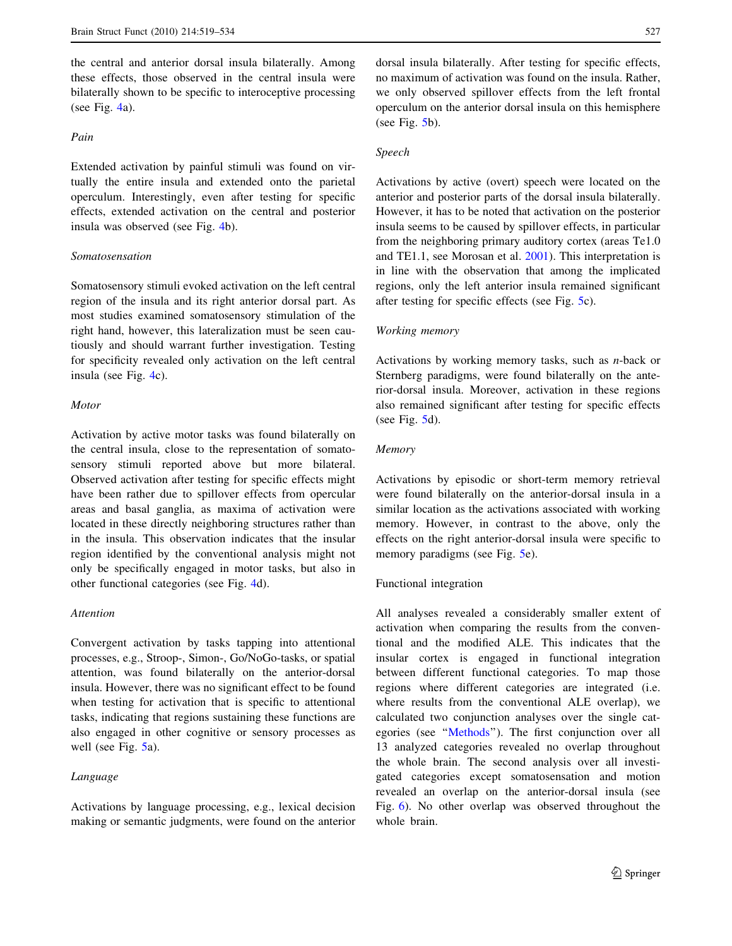the central and anterior dorsal insula bilaterally. Among these effects, those observed in the central insula were bilaterally shown to be specific to interoceptive processing (see Fig. 4a).

# Pain

Extended activation by painful stimuli was found on virtually the entire insula and extended onto the parietal operculum. Interestingly, even after testing for specific effects, extended activation on the central and posterior insula was observed (see Fig. 4b).

## Somatosensation

Somatosensory stimuli evoked activation on the left central region of the insula and its right anterior dorsal part. As most studies examined somatosensory stimulation of the right hand, however, this lateralization must be seen cautiously and should warrant further investigation. Testing for specificity revealed only activation on the left central insula (see Fig. 4c).

#### **Motor**

Activation by active motor tasks was found bilaterally on the central insula, close to the representation of somatosensory stimuli reported above but more bilateral. Observed activation after testing for specific effects might have been rather due to spillover effects from opercular areas and basal ganglia, as maxima of activation were located in these directly neighboring structures rather than in the insula. This observation indicates that the insular region identified by the conventional analysis might not only be specifically engaged in motor tasks, but also in other functional categories (see Fig. 4d).

#### Attention

Convergent activation by tasks tapping into attentional processes, e.g., Stroop-, Simon-, Go/NoGo-tasks, or spatial attention, was found bilaterally on the anterior-dorsal insula. However, there was no significant effect to be found when testing for activation that is specific to attentional tasks, indicating that regions sustaining these functions are also engaged in other cognitive or sensory processes as well (see Fig. 5a).

## Language

Activations by language processing, e.g., lexical decision making or semantic judgments, were found on the anterior dorsal insula bilaterally. After testing for specific effects, no maximum of activation was found on the insula. Rather, we only observed spillover effects from the left frontal operculum on the anterior dorsal insula on this hemisphere (see Fig.  $5b$ ).

## Speech

Activations by active (overt) speech were located on the anterior and posterior parts of the dorsal insula bilaterally. However, it has to be noted that activation on the posterior insula seems to be caused by spillover effects, in particular from the neighboring primary auditory cortex (areas Te1.0 and TE1.1, see Morosan et al. 2001). This interpretation is in line with the observation that among the implicated regions, only the left anterior insula remained significant after testing for specific effects (see Fig. 5c).

#### Working memory

Activations by working memory tasks, such as  $n$ -back or Sternberg paradigms, were found bilaterally on the anterior-dorsal insula. Moreover, activation in these regions also remained significant after testing for specific effects (see Fig. 5d).

#### Memory

Activations by episodic or short-term memory retrieval were found bilaterally on the anterior-dorsal insula in a similar location as the activations associated with working memory. However, in contrast to the above, only the effects on the right anterior-dorsal insula were specific to memory paradigms (see Fig. 5e).

#### Functional integration

All analyses revealed a considerably smaller extent of activation when comparing the results from the conventional and the modified ALE. This indicates that the insular cortex is engaged in functional integration between different functional categories. To map those regions where different categories are integrated (i.e. where results from the conventional ALE overlap), we calculated two conjunction analyses over the single categories (see ''Methods''). The first conjunction over all 13 analyzed categories revealed no overlap throughout the whole brain. The second analysis over all investigated categories except somatosensation and motion revealed an overlap on the anterior-dorsal insula (see Fig. 6). No other overlap was observed throughout the whole brain.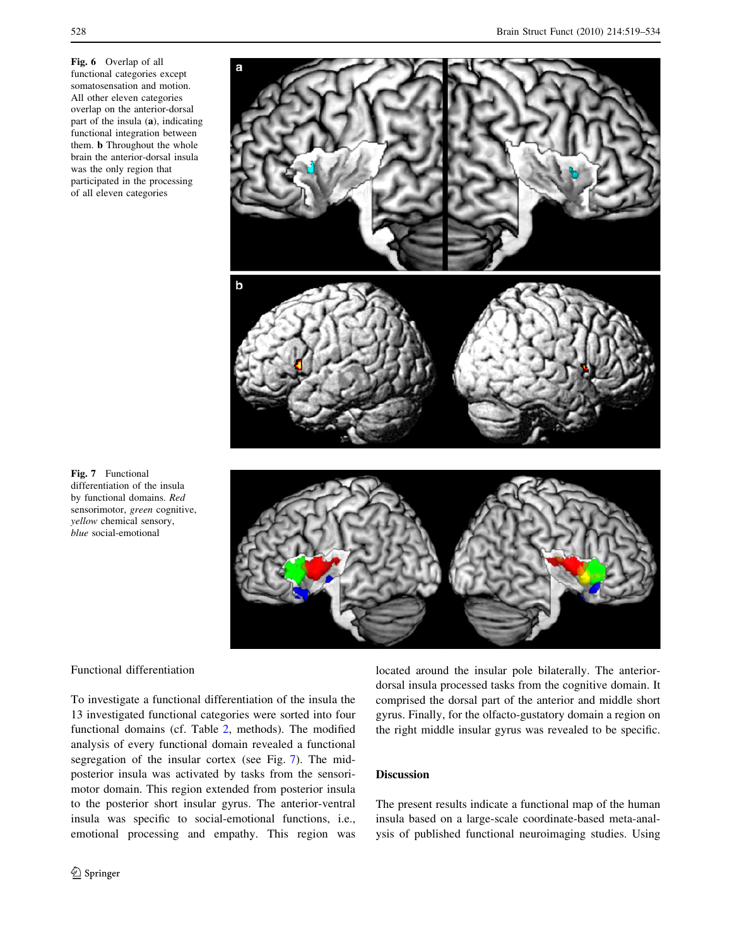Fig. 6 Overlap of all functional categories except somatosensation and motion. All other eleven categories overlap on the anterior-dorsal part of the insula (a), indicating functional integration between them. b Throughout the whole brain the anterior-dorsal insula was the only region that participated in the processing of all eleven categories



Fig. 7 Functional differentiation of the insula by functional domains. Red sensorimotor, green cognitive, yellow chemical sensory, blue social-emotional

Functional differentiation

To investigate a functional differentiation of the insula the 13 investigated functional categories were sorted into four functional domains (cf. Table 2, methods). The modified analysis of every functional domain revealed a functional segregation of the insular cortex (see Fig. 7). The midposterior insula was activated by tasks from the sensorimotor domain. This region extended from posterior insula to the posterior short insular gyrus. The anterior-ventral insula was specific to social-emotional functions, i.e., emotional processing and empathy. This region was dorsal insula processed tasks from the cognitive domain. It comprised the dorsal part of the anterior and middle short gyrus. Finally, for the olfacto-gustatory domain a region on the right middle insular gyrus was revealed to be specific.

# **Discussion**

The present results indicate a functional map of the human insula based on a large-scale coordinate-based meta-analysis of published functional neuroimaging studies. Using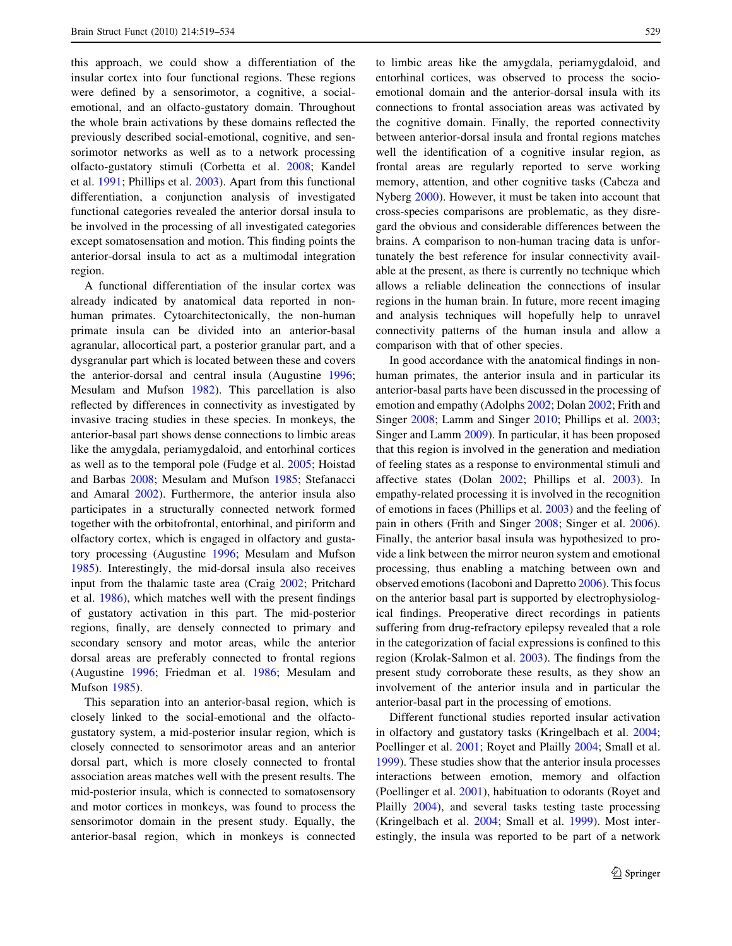this approach, we could show a differentiation of the insular cortex into four functional regions. These regions were defined by a sensorimotor, a cognitive, a socialemotional, and an olfacto-gustatory domain. Throughout the whole brain activations by these domains reflected the previously described social-emotional, cognitive, and sensorimotor networks as well as to a network processing olfacto-gustatory stimuli (Corbetta et al. 2008; Kandel et al. 1991; Phillips et al. 2003). Apart from this functional differentiation, a conjunction analysis of investigated functional categories revealed the anterior dorsal insula to be involved in the processing of all investigated categories except somatosensation and motion. This finding points the anterior-dorsal insula to act as a multimodal integration region.

A functional differentiation of the insular cortex was already indicated by anatomical data reported in nonhuman primates. Cytoarchitectonically, the non-human primate insula can be divided into an anterior-basal agranular, allocortical part, a posterior granular part, and a dysgranular part which is located between these and covers the anterior-dorsal and central insula (Augustine 1996; Mesulam and Mufson 1982). This parcellation is also reflected by differences in connectivity as investigated by invasive tracing studies in these species. In monkeys, the anterior-basal part shows dense connections to limbic areas like the amygdala, periamygdaloid, and entorhinal cortices as well as to the temporal pole (Fudge et al. 2005; Hoistad and Barbas 2008; Mesulam and Mufson 1985; Stefanacci and Amaral 2002). Furthermore, the anterior insula also participates in a structurally connected network formed together with the orbitofrontal, entorhinal, and piriform and olfactory cortex, which is engaged in olfactory and gustatory processing (Augustine 1996; Mesulam and Mufson 1985). Interestingly, the mid-dorsal insula also receives input from the thalamic taste area (Craig 2002; Pritchard et al. 1986), which matches well with the present findings of gustatory activation in this part. The mid-posterior regions, finally, are densely connected to primary and secondary sensory and motor areas, while the anterior dorsal areas are preferably connected to frontal regions (Augustine 1996; Friedman et al. 1986; Mesulam and Mufson 1985).

This separation into an anterior-basal region, which is closely linked to the social-emotional and the olfactogustatory system, a mid-posterior insular region, which is closely connected to sensorimotor areas and an anterior dorsal part, which is more closely connected to frontal association areas matches well with the present results. The mid-posterior insula, which is connected to somatosensory and motor cortices in monkeys, was found to process the sensorimotor domain in the present study. Equally, the anterior-basal region, which in monkeys is connected to limbic areas like the amygdala, periamygdaloid, and entorhinal cortices, was observed to process the socioemotional domain and the anterior-dorsal insula with its connections to frontal association areas was activated by the cognitive domain. Finally, the reported connectivity between anterior-dorsal insula and frontal regions matches well the identification of a cognitive insular region, as frontal areas are regularly reported to serve working memory, attention, and other cognitive tasks (Cabeza and Nyberg 2000). However, it must be taken into account that cross-species comparisons are problematic, as they disregard the obvious and considerable differences between the brains. A comparison to non-human tracing data is unfortunately the best reference for insular connectivity available at the present, as there is currently no technique which allows a reliable delineation the connections of insular regions in the human brain. In future, more recent imaging and analysis techniques will hopefully help to unravel connectivity patterns of the human insula and allow a comparison with that of other species.

In good accordance with the anatomical findings in nonhuman primates, the anterior insula and in particular its anterior-basal parts have been discussed in the processing of emotion and empathy (Adolphs 2002; Dolan 2002; Frith and Singer 2008; Lamm and Singer 2010; Phillips et al. 2003; Singer and Lamm 2009). In particular, it has been proposed that this region is involved in the generation and mediation of feeling states as a response to environmental stimuli and affective states (Dolan 2002; Phillips et al. 2003). In empathy-related processing it is involved in the recognition of emotions in faces (Phillips et al. 2003) and the feeling of pain in others (Frith and Singer 2008; Singer et al. 2006). Finally, the anterior basal insula was hypothesized to provide a link between the mirror neuron system and emotional processing, thus enabling a matching between own and observed emotions (Iacoboni and Dapretto 2006). This focus on the anterior basal part is supported by electrophysiological findings. Preoperative direct recordings in patients suffering from drug-refractory epilepsy revealed that a role in the categorization of facial expressions is confined to this region (Krolak-Salmon et al. 2003). The findings from the present study corroborate these results, as they show an involvement of the anterior insula and in particular the anterior-basal part in the processing of emotions.

Different functional studies reported insular activation in olfactory and gustatory tasks (Kringelbach et al. 2004; Poellinger et al. 2001; Royet and Plailly 2004; Small et al. 1999). These studies show that the anterior insula processes interactions between emotion, memory and olfaction (Poellinger et al. 2001), habituation to odorants (Royet and Plailly 2004), and several tasks testing taste processing (Kringelbach et al. 2004; Small et al. 1999). Most interestingly, the insula was reported to be part of a network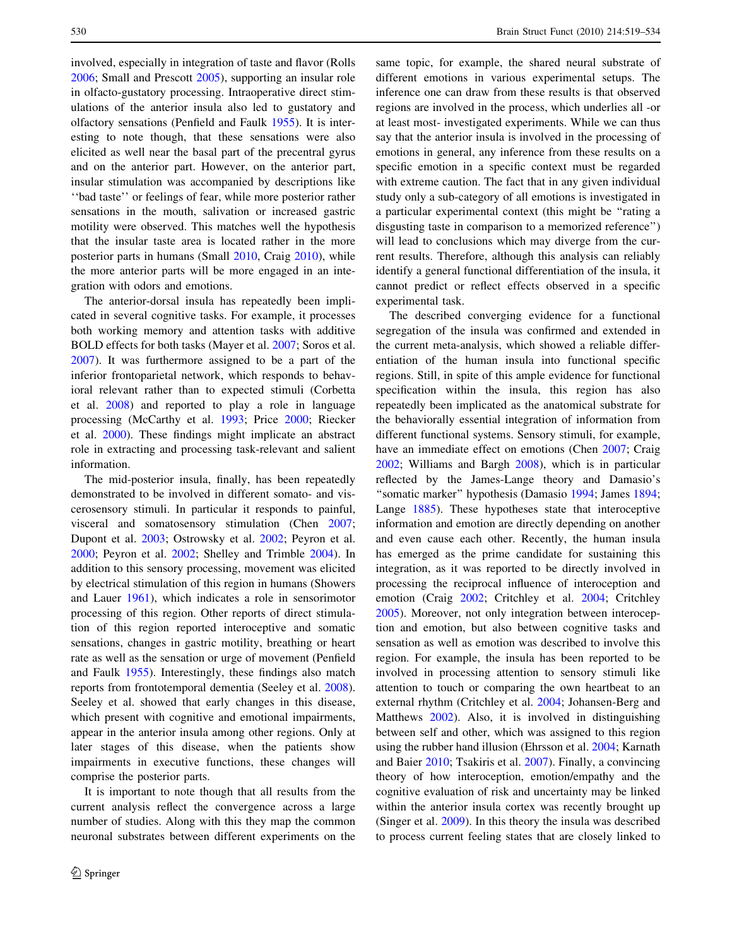involved, especially in integration of taste and flavor (Rolls 2006; Small and Prescott 2005), supporting an insular role in olfacto-gustatory processing. Intraoperative direct stimulations of the anterior insula also led to gustatory and olfactory sensations (Penfield and Faulk 1955). It is interesting to note though, that these sensations were also elicited as well near the basal part of the precentral gyrus and on the anterior part. However, on the anterior part, insular stimulation was accompanied by descriptions like ''bad taste'' or feelings of fear, while more posterior rather sensations in the mouth, salivation or increased gastric motility were observed. This matches well the hypothesis that the insular taste area is located rather in the more posterior parts in humans (Small 2010, Craig 2010), while the more anterior parts will be more engaged in an integration with odors and emotions.

The anterior-dorsal insula has repeatedly been implicated in several cognitive tasks. For example, it processes both working memory and attention tasks with additive BOLD effects for both tasks (Mayer et al. 2007; Soros et al. 2007). It was furthermore assigned to be a part of the inferior frontoparietal network, which responds to behavioral relevant rather than to expected stimuli (Corbetta et al. 2008) and reported to play a role in language processing (McCarthy et al. 1993; Price 2000; Riecker et al. 2000). These findings might implicate an abstract role in extracting and processing task-relevant and salient information.

The mid-posterior insula, finally, has been repeatedly demonstrated to be involved in different somato- and viscerosensory stimuli. In particular it responds to painful, visceral and somatosensory stimulation (Chen 2007; Dupont et al. 2003; Ostrowsky et al. 2002; Peyron et al. 2000; Peyron et al. 2002; Shelley and Trimble 2004). In addition to this sensory processing, movement was elicited by electrical stimulation of this region in humans (Showers and Lauer 1961), which indicates a role in sensorimotor processing of this region. Other reports of direct stimulation of this region reported interoceptive and somatic sensations, changes in gastric motility, breathing or heart rate as well as the sensation or urge of movement (Penfield and Faulk 1955). Interestingly, these findings also match reports from frontotemporal dementia (Seeley et al. 2008). Seeley et al. showed that early changes in this disease, which present with cognitive and emotional impairments, appear in the anterior insula among other regions. Only at later stages of this disease, when the patients show impairments in executive functions, these changes will comprise the posterior parts.

It is important to note though that all results from the current analysis reflect the convergence across a large number of studies. Along with this they map the common neuronal substrates between different experiments on the same topic, for example, the shared neural substrate of different emotions in various experimental setups. The inference one can draw from these results is that observed regions are involved in the process, which underlies all -or at least most- investigated experiments. While we can thus say that the anterior insula is involved in the processing of emotions in general, any inference from these results on a specific emotion in a specific context must be regarded with extreme caution. The fact that in any given individual study only a sub-category of all emotions is investigated in a particular experimental context (this might be ''rating a disgusting taste in comparison to a memorized reference'') will lead to conclusions which may diverge from the current results. Therefore, although this analysis can reliably identify a general functional differentiation of the insula, it cannot predict or reflect effects observed in a specific experimental task.

The described converging evidence for a functional segregation of the insula was confirmed and extended in the current meta-analysis, which showed a reliable differentiation of the human insula into functional specific regions. Still, in spite of this ample evidence for functional specification within the insula, this region has also repeatedly been implicated as the anatomical substrate for the behaviorally essential integration of information from different functional systems. Sensory stimuli, for example, have an immediate effect on emotions (Chen 2007; Craig 2002; Williams and Bargh 2008), which is in particular reflected by the James-Lange theory and Damasio's ''somatic marker'' hypothesis (Damasio 1994; James 1894; Lange 1885). These hypotheses state that interoceptive information and emotion are directly depending on another and even cause each other. Recently, the human insula has emerged as the prime candidate for sustaining this integration, as it was reported to be directly involved in processing the reciprocal influence of interoception and emotion (Craig 2002; Critchley et al. 2004; Critchley 2005). Moreover, not only integration between interoception and emotion, but also between cognitive tasks and sensation as well as emotion was described to involve this region. For example, the insula has been reported to be involved in processing attention to sensory stimuli like attention to touch or comparing the own heartbeat to an external rhythm (Critchley et al. 2004; Johansen-Berg and Matthews 2002). Also, it is involved in distinguishing between self and other, which was assigned to this region using the rubber hand illusion (Ehrsson et al. 2004; Karnath and Baier 2010; Tsakiris et al. 2007). Finally, a convincing theory of how interoception, emotion/empathy and the cognitive evaluation of risk and uncertainty may be linked within the anterior insula cortex was recently brought up (Singer et al. 2009). In this theory the insula was described to process current feeling states that are closely linked to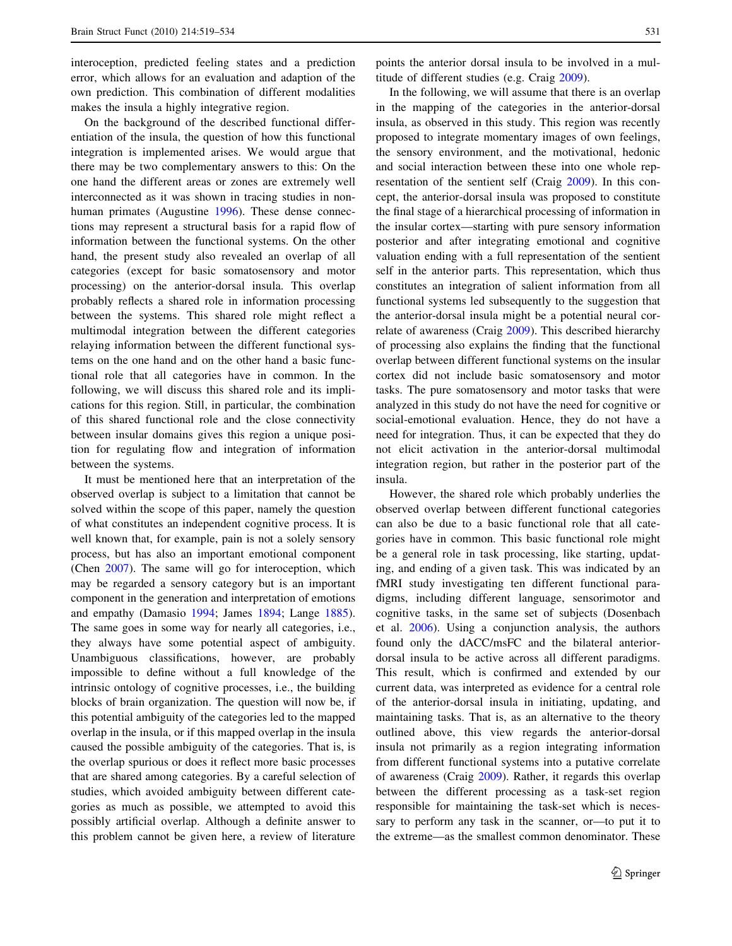interoception, predicted feeling states and a prediction error, which allows for an evaluation and adaption of the own prediction. This combination of different modalities makes the insula a highly integrative region.

On the background of the described functional differentiation of the insula, the question of how this functional integration is implemented arises. We would argue that there may be two complementary answers to this: On the one hand the different areas or zones are extremely well interconnected as it was shown in tracing studies in nonhuman primates (Augustine 1996). These dense connections may represent a structural basis for a rapid flow of information between the functional systems. On the other hand, the present study also revealed an overlap of all categories (except for basic somatosensory and motor processing) on the anterior-dorsal insula. This overlap probably reflects a shared role in information processing between the systems. This shared role might reflect a multimodal integration between the different categories relaying information between the different functional systems on the one hand and on the other hand a basic functional role that all categories have in common. In the following, we will discuss this shared role and its implications for this region. Still, in particular, the combination of this shared functional role and the close connectivity between insular domains gives this region a unique position for regulating flow and integration of information between the systems.

It must be mentioned here that an interpretation of the observed overlap is subject to a limitation that cannot be solved within the scope of this paper, namely the question of what constitutes an independent cognitive process. It is well known that, for example, pain is not a solely sensory process, but has also an important emotional component (Chen 2007). The same will go for interoception, which may be regarded a sensory category but is an important component in the generation and interpretation of emotions and empathy (Damasio 1994; James 1894; Lange 1885). The same goes in some way for nearly all categories, i.e., they always have some potential aspect of ambiguity. Unambiguous classifications, however, are probably impossible to define without a full knowledge of the intrinsic ontology of cognitive processes, i.e., the building blocks of brain organization. The question will now be, if this potential ambiguity of the categories led to the mapped overlap in the insula, or if this mapped overlap in the insula caused the possible ambiguity of the categories. That is, is the overlap spurious or does it reflect more basic processes that are shared among categories. By a careful selection of studies, which avoided ambiguity between different categories as much as possible, we attempted to avoid this possibly artificial overlap. Although a definite answer to this problem cannot be given here, a review of literature

points the anterior dorsal insula to be involved in a multitude of different studies (e.g. Craig 2009).

In the following, we will assume that there is an overlap in the mapping of the categories in the anterior-dorsal insula, as observed in this study. This region was recently proposed to integrate momentary images of own feelings, the sensory environment, and the motivational, hedonic and social interaction between these into one whole representation of the sentient self (Craig 2009). In this concept, the anterior-dorsal insula was proposed to constitute the final stage of a hierarchical processing of information in the insular cortex––starting with pure sensory information posterior and after integrating emotional and cognitive valuation ending with a full representation of the sentient self in the anterior parts. This representation, which thus constitutes an integration of salient information from all functional systems led subsequently to the suggestion that the anterior-dorsal insula might be a potential neural correlate of awareness (Craig 2009). This described hierarchy of processing also explains the finding that the functional overlap between different functional systems on the insular cortex did not include basic somatosensory and motor tasks. The pure somatosensory and motor tasks that were analyzed in this study do not have the need for cognitive or social-emotional evaluation. Hence, they do not have a need for integration. Thus, it can be expected that they do not elicit activation in the anterior-dorsal multimodal integration region, but rather in the posterior part of the insula.

However, the shared role which probably underlies the observed overlap between different functional categories can also be due to a basic functional role that all categories have in common. This basic functional role might be a general role in task processing, like starting, updating, and ending of a given task. This was indicated by an fMRI study investigating ten different functional paradigms, including different language, sensorimotor and cognitive tasks, in the same set of subjects (Dosenbach et al. 2006). Using a conjunction analysis, the authors found only the dACC/msFC and the bilateral anteriordorsal insula to be active across all different paradigms. This result, which is confirmed and extended by our current data, was interpreted as evidence for a central role of the anterior-dorsal insula in initiating, updating, and maintaining tasks. That is, as an alternative to the theory outlined above, this view regards the anterior-dorsal insula not primarily as a region integrating information from different functional systems into a putative correlate of awareness (Craig 2009). Rather, it regards this overlap between the different processing as a task-set region responsible for maintaining the task-set which is necessary to perform any task in the scanner, or—to put it to the extreme––as the smallest common denominator. These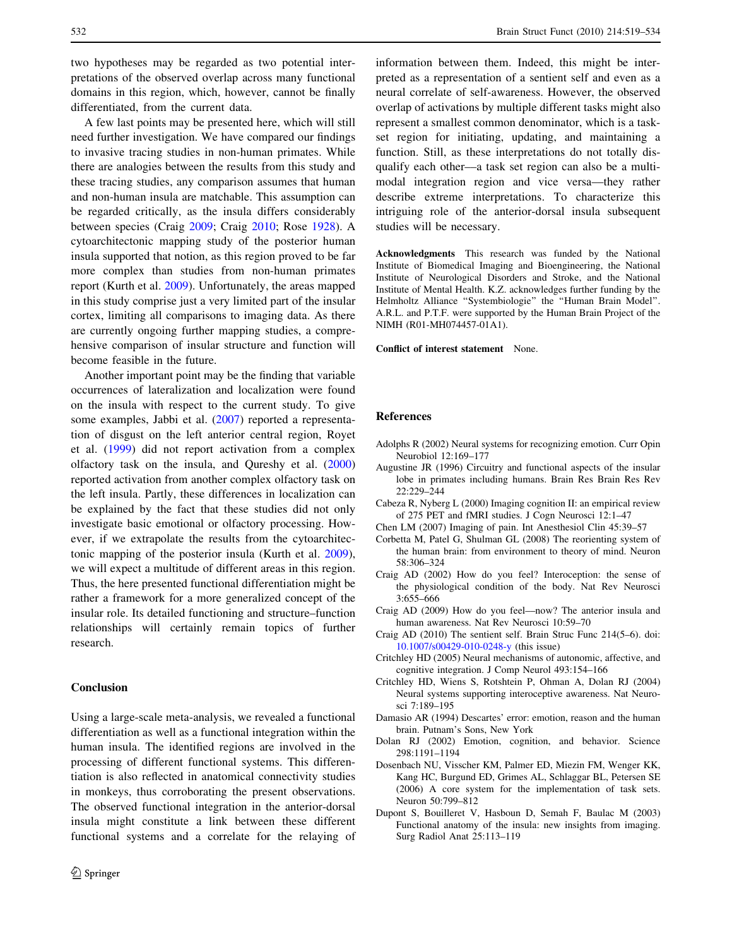two hypotheses may be regarded as two potential interpretations of the observed overlap across many functional domains in this region, which, however, cannot be finally differentiated, from the current data.

A few last points may be presented here, which will still need further investigation. We have compared our findings to invasive tracing studies in non-human primates. While there are analogies between the results from this study and these tracing studies, any comparison assumes that human and non-human insula are matchable. This assumption can be regarded critically, as the insula differs considerably between species (Craig 2009; Craig 2010; Rose 1928). A cytoarchitectonic mapping study of the posterior human insula supported that notion, as this region proved to be far more complex than studies from non-human primates report (Kurth et al. 2009). Unfortunately, the areas mapped in this study comprise just a very limited part of the insular cortex, limiting all comparisons to imaging data. As there are currently ongoing further mapping studies, a comprehensive comparison of insular structure and function will become feasible in the future.

Another important point may be the finding that variable occurrences of lateralization and localization were found on the insula with respect to the current study. To give some examples, Jabbi et al. (2007) reported a representation of disgust on the left anterior central region, Royet et al. (1999) did not report activation from a complex olfactory task on the insula, and Qureshy et al. (2000) reported activation from another complex olfactory task on the left insula. Partly, these differences in localization can be explained by the fact that these studies did not only investigate basic emotional or olfactory processing. However, if we extrapolate the results from the cytoarchitectonic mapping of the posterior insula (Kurth et al. 2009), we will expect a multitude of different areas in this region. Thus, the here presented functional differentiation might be rather a framework for a more generalized concept of the insular role. Its detailed functioning and structure–function relationships will certainly remain topics of further research.

## Conclusion

Using a large-scale meta-analysis, we revealed a functional differentiation as well as a functional integration within the human insula. The identified regions are involved in the processing of different functional systems. This differentiation is also reflected in anatomical connectivity studies in monkeys, thus corroborating the present observations. The observed functional integration in the anterior-dorsal insula might constitute a link between these different functional systems and a correlate for the relaying of information between them. Indeed, this might be interpreted as a representation of a sentient self and even as a neural correlate of self-awareness. However, the observed overlap of activations by multiple different tasks might also represent a smallest common denominator, which is a taskset region for initiating, updating, and maintaining a function. Still, as these interpretations do not totally disqualify each other––a task set region can also be a multimodal integration region and vice versa––they rather describe extreme interpretations. To characterize this intriguing role of the anterior-dorsal insula subsequent studies will be necessary.

Acknowledgments This research was funded by the National Institute of Biomedical Imaging and Bioengineering, the National Institute of Neurological Disorders and Stroke, and the National Institute of Mental Health. K.Z. acknowledges further funding by the Helmholtz Alliance ''Systembiologie'' the ''Human Brain Model''. A.R.L. and P.T.F. were supported by the Human Brain Project of the NIMH (R01-MH074457-01A1).

#### Conflict of interest statement None.

#### References

- Adolphs R (2002) Neural systems for recognizing emotion. Curr Opin Neurobiol 12:169–177
- Augustine JR (1996) Circuitry and functional aspects of the insular lobe in primates including humans. Brain Res Brain Res Rev 22:229–244
- Cabeza R, Nyberg L (2000) Imaging cognition II: an empirical review of 275 PET and fMRI studies. J Cogn Neurosci 12:1–47
- Chen LM (2007) Imaging of pain. Int Anesthesiol Clin 45:39–57
- Corbetta M, Patel G, Shulman GL (2008) The reorienting system of the human brain: from environment to theory of mind. Neuron 58:306–324
- Craig AD (2002) How do you feel? Interoception: the sense of the physiological condition of the body. Nat Rev Neurosci 3:655–666
- Craig AD (2009) How do you feel––now? The anterior insula and human awareness. Nat Rev Neurosci 10:59–70
- Craig AD (2010) The sentient self. Brain Struc Func 214(5–6). doi: 10.1007/s00429-010-0248-y (this issue)
- Critchley HD (2005) Neural mechanisms of autonomic, affective, and cognitive integration. J Comp Neurol 493:154–166
- Critchley HD, Wiens S, Rotshtein P, Ohman A, Dolan RJ (2004) Neural systems supporting interoceptive awareness. Nat Neurosci 7:189–195
- Damasio AR (1994) Descartes' error: emotion, reason and the human brain. Putnam's Sons, New York
- Dolan RJ (2002) Emotion, cognition, and behavior. Science 298:1191–1194
- Dosenbach NU, Visscher KM, Palmer ED, Miezin FM, Wenger KK, Kang HC, Burgund ED, Grimes AL, Schlaggar BL, Petersen SE (2006) A core system for the implementation of task sets. Neuron 50:799–812
- Dupont S, Bouilleret V, Hasboun D, Semah F, Baulac M (2003) Functional anatomy of the insula: new insights from imaging. Surg Radiol Anat 25:113–119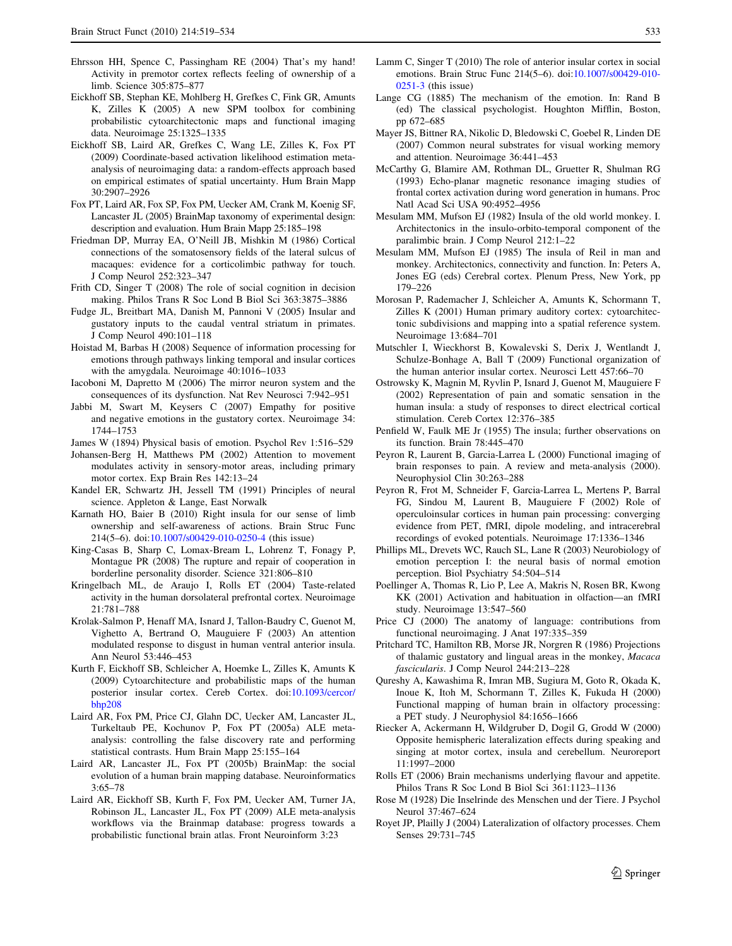- Ehrsson HH, Spence C, Passingham RE (2004) That's my hand! Activity in premotor cortex reflects feeling of ownership of a limb. Science 305:875–877
- Eickhoff SB, Stephan KE, Mohlberg H, Grefkes C, Fink GR, Amunts K, Zilles K (2005) A new SPM toolbox for combining probabilistic cytoarchitectonic maps and functional imaging data. Neuroimage 25:1325–1335
- Eickhoff SB, Laird AR, Grefkes C, Wang LE, Zilles K, Fox PT (2009) Coordinate-based activation likelihood estimation metaanalysis of neuroimaging data: a random-effects approach based on empirical estimates of spatial uncertainty. Hum Brain Mapp 30:2907–2926
- Fox PT, Laird AR, Fox SP, Fox PM, Uecker AM, Crank M, Koenig SF, Lancaster JL (2005) BrainMap taxonomy of experimental design: description and evaluation. Hum Brain Mapp 25:185–198
- Friedman DP, Murray EA, O'Neill JB, Mishkin M (1986) Cortical connections of the somatosensory fields of the lateral sulcus of macaques: evidence for a corticolimbic pathway for touch. J Comp Neurol 252:323–347
- Frith CD, Singer T (2008) The role of social cognition in decision making. Philos Trans R Soc Lond B Biol Sci 363:3875–3886
- Fudge JL, Breitbart MA, Danish M, Pannoni V (2005) Insular and gustatory inputs to the caudal ventral striatum in primates. J Comp Neurol 490:101–118
- Hoistad M, Barbas H (2008) Sequence of information processing for emotions through pathways linking temporal and insular cortices with the amygdala. Neuroimage 40:1016–1033
- Iacoboni M, Dapretto M (2006) The mirror neuron system and the consequences of its dysfunction. Nat Rev Neurosci 7:942–951
- Jabbi M, Swart M, Keysers C (2007) Empathy for positive and negative emotions in the gustatory cortex. Neuroimage 34: 1744–1753
- James W (1894) Physical basis of emotion. Psychol Rev 1:516–529
- Johansen-Berg H, Matthews PM (2002) Attention to movement modulates activity in sensory-motor areas, including primary motor cortex. Exp Brain Res 142:13–24
- Kandel ER, Schwartz JH, Jessell TM (1991) Principles of neural science. Appleton & Lange, East Norwalk
- Karnath HO, Baier B (2010) Right insula for our sense of limb ownership and self-awareness of actions. Brain Struc Func 214(5–6). doi:10.1007/s00429-010-0250-4 (this issue)
- King-Casas B, Sharp C, Lomax-Bream L, Lohrenz T, Fonagy P, Montague PR (2008) The rupture and repair of cooperation in borderline personality disorder. Science 321:806–810
- Kringelbach ML, de Araujo I, Rolls ET (2004) Taste-related activity in the human dorsolateral prefrontal cortex. Neuroimage 21:781–788
- Krolak-Salmon P, Henaff MA, Isnard J, Tallon-Baudry C, Guenot M, Vighetto A, Bertrand O, Mauguiere F (2003) An attention modulated response to disgust in human ventral anterior insula. Ann Neurol 53:446–453
- Kurth F, Eickhoff SB, Schleicher A, Hoemke L, Zilles K, Amunts K (2009) Cytoarchitecture and probabilistic maps of the human posterior insular cortex. Cereb Cortex. doi:10.1093/cercor/ bhp208
- Laird AR, Fox PM, Price CJ, Glahn DC, Uecker AM, Lancaster JL, Turkeltaub PE, Kochunov P, Fox PT (2005a) ALE metaanalysis: controlling the false discovery rate and performing statistical contrasts. Hum Brain Mapp 25:155–164
- Laird AR, Lancaster JL, Fox PT (2005b) BrainMap: the social evolution of a human brain mapping database. Neuroinformatics 3:65–78
- Laird AR, Eickhoff SB, Kurth F, Fox PM, Uecker AM, Turner JA, Robinson JL, Lancaster JL, Fox PT (2009) ALE meta-analysis workflows via the Brainmap database: progress towards a probabilistic functional brain atlas. Front Neuroinform 3:23
- Lange CG (1885) The mechanism of the emotion. In: Rand B (ed) The classical psychologist. Houghton Mifflin, Boston, pp 672–685
- Mayer JS, Bittner RA, Nikolic D, Bledowski C, Goebel R, Linden DE (2007) Common neural substrates for visual working memory and attention. Neuroimage 36:441–453
- McCarthy G, Blamire AM, Rothman DL, Gruetter R, Shulman RG (1993) Echo-planar magnetic resonance imaging studies of frontal cortex activation during word generation in humans. Proc Natl Acad Sci USA 90:4952–4956
- Mesulam MM, Mufson EJ (1982) Insula of the old world monkey. I. Architectonics in the insulo-orbito-temporal component of the paralimbic brain. J Comp Neurol 212:1–22
- Mesulam MM, Mufson EJ (1985) The insula of Reil in man and monkey. Architectonics, connectivity and function. In: Peters A, Jones EG (eds) Cerebral cortex. Plenum Press, New York, pp 179–226
- Morosan P, Rademacher J, Schleicher A, Amunts K, Schormann T, Zilles K (2001) Human primary auditory cortex: cytoarchitectonic subdivisions and mapping into a spatial reference system. Neuroimage 13:684–701
- Mutschler I, Wieckhorst B, Kowalevski S, Derix J, Wentlandt J, Schulze-Bonhage A, Ball T (2009) Functional organization of the human anterior insular cortex. Neurosci Lett 457:66–70
- Ostrowsky K, Magnin M, Ryvlin P, Isnard J, Guenot M, Mauguiere F (2002) Representation of pain and somatic sensation in the human insula: a study of responses to direct electrical cortical stimulation. Cereb Cortex 12:376–385
- Penfield W, Faulk ME Jr (1955) The insula; further observations on its function. Brain 78:445–470
- Peyron R, Laurent B, Garcia-Larrea L (2000) Functional imaging of brain responses to pain. A review and meta-analysis (2000). Neurophysiol Clin 30:263–288
- Peyron R, Frot M, Schneider F, Garcia-Larrea L, Mertens P, Barral FG, Sindou M, Laurent B, Mauguiere F (2002) Role of operculoinsular cortices in human pain processing: converging evidence from PET, fMRI, dipole modeling, and intracerebral recordings of evoked potentials. Neuroimage 17:1336–1346
- Phillips ML, Drevets WC, Rauch SL, Lane R (2003) Neurobiology of emotion perception I: the neural basis of normal emotion perception. Biol Psychiatry 54:504–514
- Poellinger A, Thomas R, Lio P, Lee A, Makris N, Rosen BR, Kwong KK (2001) Activation and habituation in olfaction––an fMRI study. Neuroimage 13:547–560
- Price CJ (2000) The anatomy of language: contributions from functional neuroimaging. J Anat 197:335–359
- Pritchard TC, Hamilton RB, Morse JR, Norgren R (1986) Projections of thalamic gustatory and lingual areas in the monkey, Macaca fascicularis. J Comp Neurol 244:213–228
- Qureshy A, Kawashima R, Imran MB, Sugiura M, Goto R, Okada K, Inoue K, Itoh M, Schormann T, Zilles K, Fukuda H (2000) Functional mapping of human brain in olfactory processing: a PET study. J Neurophysiol 84:1656–1666
- Riecker A, Ackermann H, Wildgruber D, Dogil G, Grodd W (2000) Opposite hemispheric lateralization effects during speaking and singing at motor cortex, insula and cerebellum. Neuroreport 11:1997–2000
- Rolls ET (2006) Brain mechanisms underlying flavour and appetite. Philos Trans R Soc Lond B Biol Sci 361:1123–1136
- Rose M (1928) Die Inselrinde des Menschen und der Tiere. J Psychol Neurol 37:467–624
- Royet JP, Plailly J (2004) Lateralization of olfactory processes. Chem Senses 29:731–745